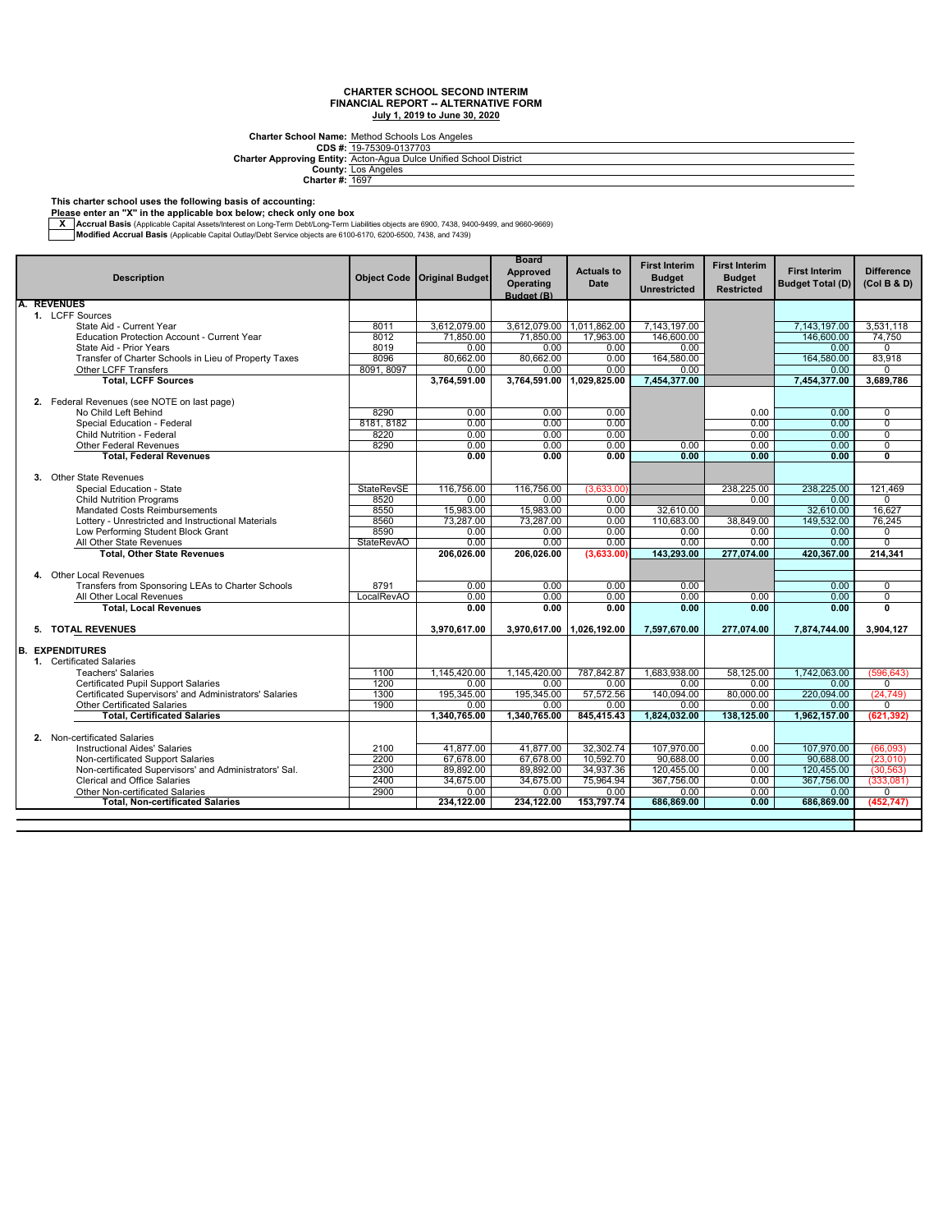**CDS #: Charter Approving Entity:** Charter School Name: <u>Method Schools Los Angeles</u><br>CDS #: <u>19-75309-0137703</u><br>Inter Approving Entity: <u>Acton-Agua Dulce Unified School District.</u>

## **County: Charter #:** Los Angeles 1697

#### **This charter school uses the following basis of accounting:**

**Please enter an "X" in the applicable box below; check only one box**

— Accrual Basis (Applicable Capital Assets/Interest on Long-Term Debt/Long-Term Liabilities objects are 6900, 7438, 9400-9499, and 9660-9669, Architect State Internal Basis (Applicable Capital Outlay/Debt Service object

| <b>Description</b>                                                                            | <b>Object Code</b> | <b>Original Budget</b> | <b>Board</b><br><b>Approved</b><br>Operating<br>Budget (B) | <b>Actuals to</b><br><b>Date</b> | <b>First Interim</b><br><b>Budget</b><br><b>Unrestricted</b> | <b>First Interim</b><br><b>Budget</b><br><b>Restricted</b> | <b>First Interim</b><br><b>Budget Total (D)</b> | <b>Difference</b><br>(Col B & D) |
|-----------------------------------------------------------------------------------------------|--------------------|------------------------|------------------------------------------------------------|----------------------------------|--------------------------------------------------------------|------------------------------------------------------------|-------------------------------------------------|----------------------------------|
| <b>REVENUES</b>                                                                               |                    |                        |                                                            |                                  |                                                              |                                                            |                                                 |                                  |
| 1. LCFF Sources                                                                               |                    |                        |                                                            |                                  |                                                              |                                                            |                                                 |                                  |
| State Aid - Current Year                                                                      | 8011               | 3,612,079.00           |                                                            | 3,612,079.00 1,011,862.00        | 7,143,197.00                                                 |                                                            | 7,143,197.00                                    | 3,531,118                        |
| <b>Education Protection Account - Current Year</b>                                            | 8012               | 71.850.00              | 71,850.00                                                  | 17,963.00                        | 146,600.00                                                   |                                                            | 146.600.00                                      | 74,750                           |
| State Aid - Prior Years                                                                       | 8019               | 0.00                   | 0.00                                                       | 0.00                             | 0.00                                                         |                                                            | 0.00                                            | $\Omega$                         |
| Transfer of Charter Schools in Lieu of Property Taxes                                         | 8096               | 80.662.00              | 80.662.00                                                  | 0.00                             | 164.580.00                                                   |                                                            | 164.580.00                                      | 83.918                           |
| Other LCFF Transfers                                                                          | 8091, 8097         | 0.00                   | 0.00                                                       | 0.00                             | 0.00                                                         |                                                            | 0.00                                            | $\Omega$                         |
| <b>Total, LCFF Sources</b>                                                                    |                    | 3,764,591.00           | 3,764,591.00 1,029,825.00                                  |                                  | 7,454,377.00                                                 |                                                            | 7,454,377.00                                    | 3,689,786                        |
| 2. Federal Revenues (see NOTE on last page)                                                   |                    |                        |                                                            |                                  |                                                              |                                                            |                                                 |                                  |
| No Child Left Behind                                                                          | 8290               | 0.00                   | 0.00                                                       | 0.00                             |                                                              | 0.00                                                       | 0.00                                            | 0                                |
| Special Education - Federal                                                                   | 8181, 8182         | 0.00                   | 0.00                                                       | 0.00                             |                                                              | 0.00                                                       | 0.00                                            | 0                                |
| <b>Child Nutrition - Federal</b>                                                              | 8220               | 0.00                   | 0.00                                                       | 0.00                             |                                                              | 0.00                                                       | 0.00                                            | $\overline{0}$                   |
| <b>Other Federal Revenues</b>                                                                 | 8290               | 0.00                   | 0.00                                                       | 0.00                             | 0.00                                                         | 0.00                                                       | 0.00                                            | $\overline{0}$                   |
| <b>Total, Federal Revenues</b>                                                                |                    | 0.00                   | 0.00                                                       | 0.00                             | 0.00                                                         | 0.00                                                       | 0.00                                            | 0                                |
| 3. Other State Revenues                                                                       |                    |                        |                                                            |                                  |                                                              |                                                            |                                                 |                                  |
| Special Education - State                                                                     | <b>StateRevSE</b>  | 116.756.00             | 116,756.00                                                 | (3.633.00)                       |                                                              | 238.225.00                                                 | 238.225.00                                      | 121.469                          |
| <b>Child Nutrition Programs</b>                                                               | 8520               | 0.00                   | 0.00                                                       | 0.00                             |                                                              | 0.00                                                       | 0.00                                            | $\Omega$                         |
| <b>Mandated Costs Reimbursements</b>                                                          | 8550               | 15,983.00              | 15.983.00                                                  | 0.00                             | 32.610.00                                                    |                                                            | 32,610.00                                       | 16.627                           |
| Lottery - Unrestricted and Instructional Materials                                            | 8560               | 73,287.00              | 73,287.00                                                  | 0.00                             | 110,683.00                                                   | 38,849.00                                                  | 149,532.00                                      | 76,245                           |
| Low Performing Student Block Grant                                                            | 8590               | 0.00                   | 0.00                                                       | 0.00                             | 0.00                                                         | 0.00                                                       | 0.00                                            | 0                                |
| All Other State Revenues                                                                      | <b>StateRevAO</b>  | 0.00                   | 0.00                                                       | 0.00                             | 0.00                                                         | 0.00                                                       | 0.00                                            | $\overline{0}$                   |
| <b>Total, Other State Revenues</b>                                                            |                    | 206,026.00             | 206.026.00                                                 | (3,633.00)                       | 143,293.00                                                   | 277,074.00                                                 | 420,367.00                                      | 214,341                          |
|                                                                                               |                    |                        |                                                            |                                  |                                                              |                                                            |                                                 |                                  |
| 4. Other Local Revenues                                                                       |                    |                        |                                                            |                                  |                                                              |                                                            |                                                 |                                  |
| Transfers from Sponsoring LEAs to Charter Schools                                             | 8791               | 0.00                   | 0.00                                                       | 0.00                             | 0.00                                                         |                                                            | 0.00                                            | 0                                |
| All Other Local Revenues                                                                      | LocalRevAO         | 0.00                   | 0.00                                                       | 0.00                             | 0.00                                                         | 0.00                                                       | 0.00                                            | $\overline{0}$                   |
| <b>Total, Local Revenues</b>                                                                  |                    | 0.00                   | 0.00                                                       | 0.00                             | 0.00                                                         | 0.00                                                       | 0.00                                            | 0                                |
| 5. TOTAL REVENUES                                                                             |                    | 3.970.617.00           |                                                            | 3.970.617.00 1.026.192.00        | 7.597.670.00                                                 | 277.074.00                                                 | 7.874.744.00                                    | 3.904.127                        |
|                                                                                               |                    |                        |                                                            |                                  |                                                              |                                                            |                                                 |                                  |
| <b>B. EXPENDITURES</b>                                                                        |                    |                        |                                                            |                                  |                                                              |                                                            |                                                 |                                  |
| 1. Certificated Salaries                                                                      |                    | 1.145.420.00           |                                                            |                                  |                                                              |                                                            | 1,742,063.00                                    |                                  |
| <b>Teachers' Salaries</b>                                                                     | 1100<br>1200       | 0.00                   | 1,145,420.00<br>0.00                                       | 787,842.87<br>0.00               | 1,683,938.00<br>0.00                                         | 58,125.00<br>0.00                                          | 0.00                                            | (596, 643)<br>$\Omega$           |
| Certificated Pupil Support Salaries<br>Certificated Supervisors' and Administrators' Salaries | 1300               | 195,345.00             | 195,345.00                                                 | 57,572.56                        | 140,094.00                                                   | 80,000.00                                                  | 220,094.00                                      | (24, 749)                        |
| <b>Other Certificated Salaries</b>                                                            | 1900               | 0.00                   | 0.00                                                       | 0.00                             | 0.00                                                         | 0.00                                                       | 0.00                                            | 0                                |
| <b>Total, Certificated Salaries</b>                                                           |                    | 1,340,765.00           | 1.340.765.00                                               | 845,415.43                       | 1,824,032.00                                                 | 138.125.00                                                 | 1,962,157.00                                    | (621, 392)                       |
|                                                                                               |                    |                        |                                                            |                                  |                                                              |                                                            |                                                 |                                  |
| 2. Non-certificated Salaries                                                                  |                    |                        |                                                            |                                  |                                                              |                                                            |                                                 |                                  |
| <b>Instructional Aides' Salaries</b>                                                          | 2100               | 41.877.00              | 41.877.00                                                  | 32,302.74                        | 107,970.00                                                   | 0.00                                                       | 107.970.00                                      | (66,093)                         |
| Non-certificated Support Salaries                                                             | 2200               | 67,678.00              | 67,678.00                                                  | 10,592.70                        | 90,688.00                                                    | 0.00                                                       | 90,688.00                                       | (23,010)                         |
| Non-certificated Supervisors' and Administrators' Sal.                                        | 2300               | 89,892.00              | 89,892.00                                                  | 34,937.36                        | 120,455.00                                                   | 0.00                                                       | 120,455.00                                      | (30, 563)                        |
| <b>Clerical and Office Salaries</b>                                                           | 2400               | 34.675.00              | 34.675.00                                                  | 75,964.94                        | 367.756.00                                                   | 0.00                                                       | 367.756.00                                      | (333.081)                        |
| Other Non-certificated Salaries                                                               | 2900               | 0.00                   | 0.00                                                       | 0.00                             | 0.00                                                         | 0.00                                                       | 0.00                                            | 0                                |
| <b>Total. Non-certificated Salaries</b>                                                       |                    | 234,122.00             | 234,122.00                                                 | 153,797.74                       | 686,869.00                                                   | 0.00                                                       | 686,869.00                                      | (452, 747)                       |
|                                                                                               |                    |                        |                                                            |                                  |                                                              |                                                            |                                                 |                                  |
|                                                                                               |                    |                        |                                                            |                                  |                                                              |                                                            |                                                 |                                  |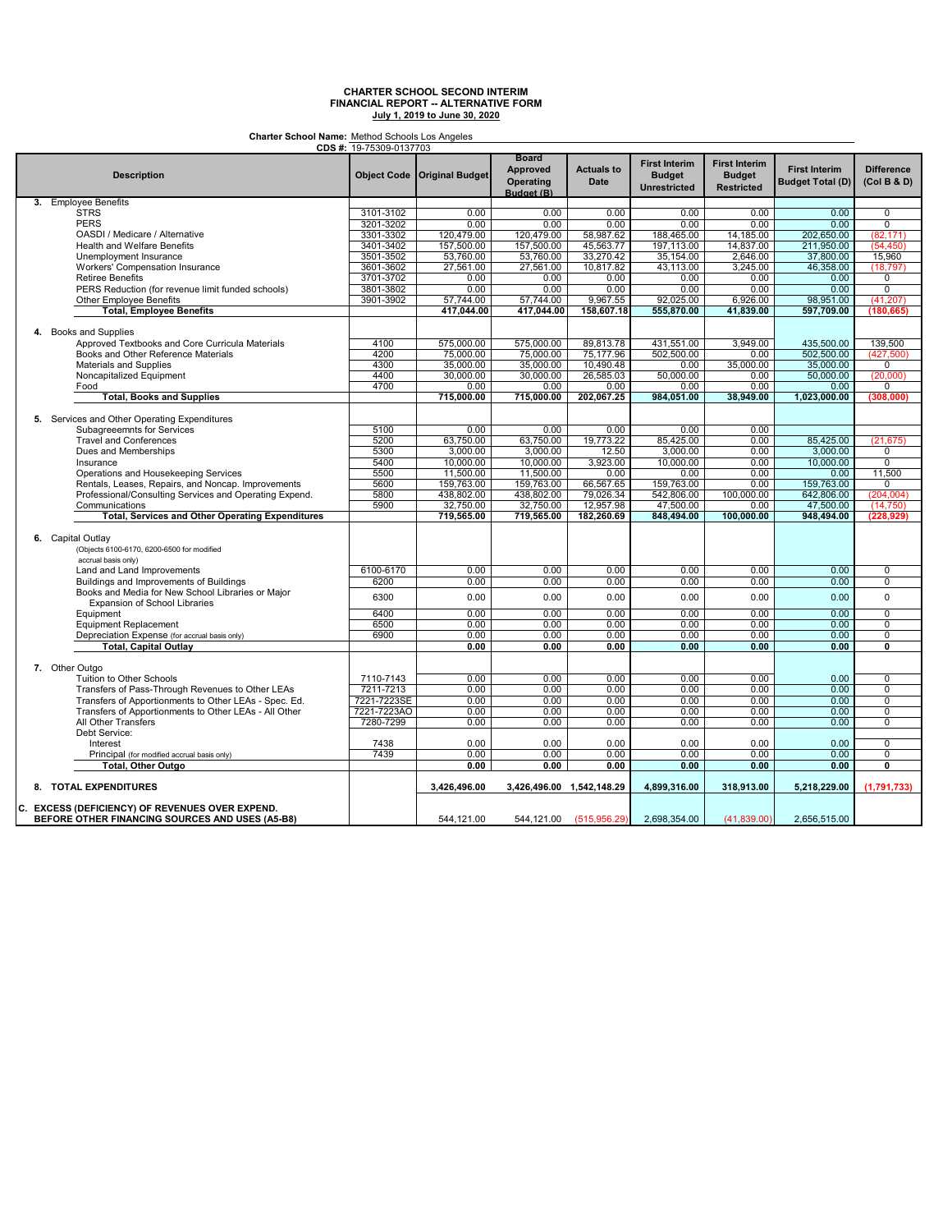**Charter School Name:** Method Schools Los Angeles

|                                                         | <b>CDS #:</b> 19-75309-0137703 |                               |                                                            |                                  |                                                              |                                                            |                                                 |                                  |
|---------------------------------------------------------|--------------------------------|-------------------------------|------------------------------------------------------------|----------------------------------|--------------------------------------------------------------|------------------------------------------------------------|-------------------------------------------------|----------------------------------|
| <b>Description</b>                                      |                                | Object Code   Original Budget | <b>Board</b><br><b>Approved</b><br>Operating<br>Budget (B) | <b>Actuals to</b><br><b>Date</b> | <b>First Interim</b><br><b>Budget</b><br><b>Unrestricted</b> | <b>First Interim</b><br><b>Budget</b><br><b>Restricted</b> | <b>First Interim</b><br><b>Budget Total (D)</b> | <b>Difference</b><br>(Col B & D) |
| 3. Employee Benefits                                    |                                |                               |                                                            |                                  |                                                              |                                                            |                                                 |                                  |
| <b>STRS</b>                                             | 3101-3102                      | 0.00                          | 0.00                                                       | 0.00                             | 0.00                                                         | 0.00                                                       | 0.00                                            | $\overline{0}$                   |
| <b>PERS</b>                                             | 3201-3202                      | 0.00                          | 0.00                                                       | 0.00                             | 0.00                                                         | 0.00                                                       | 0.00                                            | $\overline{0}$                   |
| OASDI / Medicare / Alternative                          | 3301-3302                      | 120,479.00                    | 120,479.00                                                 | 58,987.62                        | 188,465.00                                                   | 14,185.00                                                  | 202,650.00                                      | (82.171)                         |
| <b>Health and Welfare Benefits</b>                      | 3401-3402                      | 157,500.00                    | 157,500.00                                                 | 45,563.77                        | 197,113.00                                                   | 14,837.00                                                  | 211,950.00                                      | (54, 450)                        |
|                                                         |                                |                               |                                                            |                                  |                                                              |                                                            |                                                 |                                  |
| Unemployment Insurance                                  | 3501-3502                      | 53,760.00                     | 53,760.00                                                  | 33,270.42                        | 35,154.00                                                    | 2,646.00                                                   | 37,800.00                                       | 15,960                           |
| Workers' Compensation Insurance                         | 3601-3602                      | 27,561.00                     | 27,561.00                                                  | 10,817.82                        | 43,113.00                                                    | 3,245.00                                                   | 46,358.00                                       | (18, 797)                        |
| <b>Retiree Benefits</b>                                 | 3701-3702                      | 0.00                          | 0.00                                                       | 0.00                             | 0.00                                                         | 0.00                                                       | 0.00                                            | 0                                |
| PERS Reduction (for revenue limit funded schools)       | 3801-3802                      | 0.00                          | 0.00                                                       | 0.00                             | 0.00                                                         | 0.00                                                       | 0.00                                            | $\overline{0}$                   |
| Other Employee Benefits                                 | 3901-3902                      | 57.744.00                     | 57.744.00                                                  | 9,967.55                         | 92,025.00                                                    | 6,926.00                                                   | 98,951.00                                       | (41, 207)                        |
| <b>Total, Employee Benefits</b>                         |                                | 417,044.00                    | 417,044.00                                                 | 158,607.18                       | 555,870.00                                                   | 41,839.00                                                  | 597,709.00                                      | (180, 665)                       |
| 4. Books and Supplies                                   |                                |                               |                                                            |                                  |                                                              |                                                            |                                                 |                                  |
| Approved Textbooks and Core Curricula Materials         | 4100                           | 575,000.00                    | 575,000.00                                                 | 89,813.78                        | 431,551.00                                                   | 3.949.00                                                   | 435,500.00                                      | 139,500                          |
| Books and Other Reference Materials                     | 4200                           | 75,000.00                     | 75,000.00                                                  | 75,177.96                        | 502,500.00                                                   | 0.00                                                       | 502,500.00                                      | (427, 500)                       |
| Materials and Supplies                                  | 4300                           | 35.000.00                     | 35,000.00                                                  | 10.490.48                        | 0.00                                                         | 35,000.00                                                  | 35,000.00                                       | $\overline{0}$                   |
| Noncapitalized Equipment                                | 4400                           | 30,000.00                     | 30,000.00                                                  | 26,585.03                        | 50,000.00                                                    | 0.00                                                       | 50,000.00                                       | (20,000)                         |
|                                                         |                                |                               |                                                            |                                  |                                                              |                                                            |                                                 |                                  |
| Food                                                    | 4700                           | 0.00                          | 0.00                                                       | 0.00                             | 0.00                                                         | 0.00                                                       | 0.00                                            | 0                                |
| <b>Total, Books and Supplies</b>                        |                                | 715,000.00                    | 715,000.00                                                 | 202,067.25                       | 984,051.00                                                   | 38.949.00                                                  | 1,023,000.00                                    | (308,000)                        |
| 5. Services and Other Operating Expenditures            |                                |                               |                                                            |                                  |                                                              |                                                            |                                                 |                                  |
| Subagreeemnts for Services                              | 5100                           | 0.00                          | 0.00                                                       | 0.00                             | 0.00                                                         | 0.00                                                       |                                                 |                                  |
| <b>Travel and Conferences</b>                           | 5200                           | 63,750.00                     | 63,750.00                                                  | 19,773.22                        | 85,425.00                                                    | 0.00                                                       | 85,425.00                                       | (21, 675)                        |
| Dues and Memberships                                    | 5300                           | 3,000.00                      | 3,000.00                                                   | 12.50                            | 3,000.00                                                     | 0.00                                                       | 3,000.00                                        | 0                                |
| Insurance                                               | 5400                           | 10.000.00                     | 10.000.00                                                  | 3.923.00                         | 10.000.00                                                    | 0.00                                                       | 10.000.00                                       | $\overline{0}$                   |
| Operations and Housekeeping Services                    | 5500                           | 11,500.00                     | 11,500.00                                                  | 0.00                             | 0.00                                                         | 0.00                                                       | 0.00                                            | 11,500                           |
| Rentals, Leases, Repairs, and Noncap. Improvements      | 5600                           | 159,763.00                    | 159,763.00                                                 | 66,567.65                        | 159,763.00                                                   | 0.00                                                       | 159,763.00                                      | $\Omega$                         |
| Professional/Consulting Services and Operating Expend.  | 5800                           | 438,802.00                    | 438,802.00                                                 | 79,026.34                        | 542,806.00                                                   | 100,000.00                                                 | 642,806.00                                      | (204.004)                        |
|                                                         | 5900                           |                               |                                                            | 12.957.98                        |                                                              |                                                            |                                                 | (14.750)                         |
| Communications                                          |                                | 32,750.00                     | 32.750.00                                                  |                                  | 47.500.00                                                    | 0.00                                                       | 47,500.00                                       |                                  |
| <b>Total, Services and Other Operating Expenditures</b> |                                | 719,565.00                    | 719,565.00                                                 | 182,260.69                       | 848,494.00                                                   | 100,000.00                                                 | 948,494.00                                      | (228.929)                        |
|                                                         |                                |                               |                                                            |                                  |                                                              |                                                            |                                                 |                                  |
| 6. Capital Outlay                                       |                                |                               |                                                            |                                  |                                                              |                                                            |                                                 |                                  |
| (Objects 6100-6170, 6200-6500 for modified              |                                |                               |                                                            |                                  |                                                              |                                                            |                                                 |                                  |
| accrual basis only)                                     |                                |                               |                                                            |                                  |                                                              |                                                            |                                                 |                                  |
| Land and Land Improvements                              | 6100-6170                      | 0.00                          | 0.00                                                       | 0.00                             | 0.00                                                         | 0.00                                                       | 0.00                                            | 0                                |
| Buildings and Improvements of Buildings                 | 6200                           | 0.00                          | 0.00                                                       | 0.00                             | 0.00                                                         | 0.00                                                       | 0.00                                            | $\overline{0}$                   |
| Books and Media for New School Libraries or Maior       |                                |                               |                                                            |                                  |                                                              |                                                            |                                                 |                                  |
| <b>Expansion of School Libraries</b>                    | 6300                           | 0.00                          | 0.00                                                       | 0.00                             | 0.00                                                         | 0.00                                                       | 0.00                                            | 0                                |
| Equipment                                               | 6400                           | 0.00                          | 0.00                                                       | 0.00                             | 0.00                                                         | 0.00                                                       | 0.00                                            | $\overline{0}$                   |
| <b>Equipment Replacement</b>                            | 6500                           | 0.00                          | 0.00                                                       | 0.00                             | 0.00                                                         | 0.00                                                       | 0.00                                            | 0                                |
| Depreciation Expense (for accrual basis only)           | 6900                           | 0.00                          | 0.00                                                       | 0.00                             | 0.00                                                         | 0.00                                                       | 0.00                                            | $\overline{0}$                   |
|                                                         |                                | 0.00                          | 0.00                                                       | 0.00                             | 0.00                                                         | 0.00                                                       | 0.00                                            | $\overline{\mathfrak{o}}$        |
| Total, Capital Outlay                                   |                                |                               |                                                            |                                  |                                                              |                                                            |                                                 |                                  |
|                                                         |                                |                               |                                                            |                                  |                                                              |                                                            |                                                 |                                  |
| 7. Other Outgo                                          |                                |                               |                                                            |                                  |                                                              |                                                            |                                                 |                                  |
| Tuition to Other Schools                                | 7110-7143                      | 0.00                          | 0.00                                                       | 0.00                             | 0.00                                                         | 0.00                                                       | 0.00                                            | 0                                |
| Transfers of Pass-Through Revenues to Other LEAs        | 7211-7213                      | 0.00                          | 0.00                                                       | 0.00                             | 0.00                                                         | 0.00                                                       | 0.00                                            | $\overline{0}$                   |
| Transfers of Apportionments to Other LEAs - Spec. Ed.   | 7221-7223SE                    | 0.00                          | 0.00                                                       | 0.00                             | 0.00                                                         | 0.00                                                       | 0.00                                            | 0                                |
| Transfers of Apportionments to Other LEAs - All Other   | 7221-7223AO                    | 0.00                          | 0.00                                                       | 0.00                             | 0.00                                                         | 0.00                                                       | 0.00                                            | 0                                |
| All Other Transfers                                     | 7280-7299                      | 0.00                          | 0.00                                                       | 0.00                             | 0.00                                                         | 0.00                                                       | 0.00                                            | $\overline{0}$                   |
| Debt Service:                                           |                                |                               |                                                            |                                  |                                                              |                                                            |                                                 |                                  |
| Interest                                                | 7438                           | 0.00                          | 0.00                                                       | 0.00                             | 0.00                                                         | 0.00                                                       | 0.00                                            | 0                                |
| Principal (for modified accrual basis only)             | 7439                           | 0.00                          | 0.00                                                       | 0.00                             | 0.00                                                         | 0.00                                                       | 0.00                                            | 0                                |
|                                                         |                                | 0.00                          | 0.00                                                       | 0.00                             | 0.00                                                         | 0.00                                                       | 0.00                                            | 0                                |
| Total, Other Outgo                                      |                                |                               |                                                            |                                  |                                                              |                                                            |                                                 |                                  |
| 8. TOTAL EXPENDITURES                                   |                                | 3,426,496.00                  | 3,426,496.00 1,542,148.29                                  |                                  | 4,899,316.00                                                 | 318,913.00                                                 | 5,218,229.00                                    | (1,791,733)                      |
| C. EXCESS (DEFICIENCY) OF REVENUES OVER EXPEND.         |                                |                               |                                                            |                                  |                                                              |                                                            |                                                 |                                  |
| BEFORE OTHER FINANCING SOURCES AND USES (A5-B8)         |                                | 544,121.00                    | 544,121.00                                                 | (515, 956.29)                    | 2,698,354.00                                                 | (41.839.00)                                                | 2,656,515.00                                    |                                  |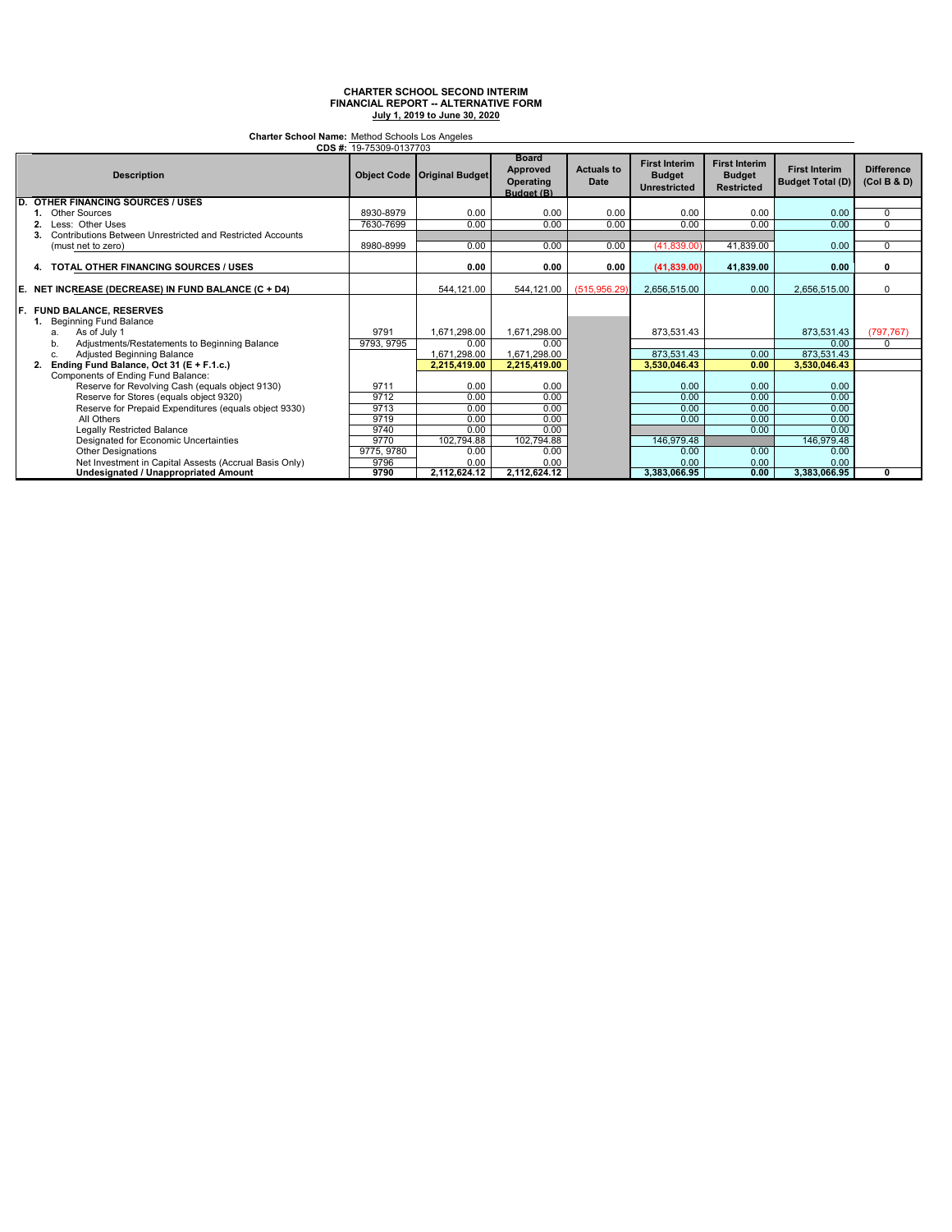**Charter School Name:** Method Schools Los Angeles

|    |                                                            | CDS #: 19-75309-0137703 |                                      |                                                     |                                  |                                                              |                                                            |                                                 |                                  |
|----|------------------------------------------------------------|-------------------------|--------------------------------------|-----------------------------------------------------|----------------------------------|--------------------------------------------------------------|------------------------------------------------------------|-------------------------------------------------|----------------------------------|
|    | <b>Description</b>                                         |                         | <b>Object Code   Original Budget</b> | <b>Board</b><br>Approved<br>Operating<br>Budget (B) | <b>Actuals to</b><br><b>Date</b> | <b>First Interim</b><br><b>Budget</b><br><b>Unrestricted</b> | <b>First Interim</b><br><b>Budget</b><br><b>Restricted</b> | <b>First Interim</b><br><b>Budget Total (D)</b> | <b>Difference</b><br>(Col B & D) |
| D  | <b>OTHER FINANCING SOURCES / USES</b>                      |                         |                                      |                                                     |                                  |                                                              |                                                            |                                                 |                                  |
|    | <b>Other Sources</b>                                       | 8930-8979               | 0.00                                 | 0.00                                                | 0.00                             | 0.00                                                         | 0.00                                                       | 0.00                                            | 0                                |
|    | Less: Other Uses                                           | 7630-7699               | 0.00                                 | 0.00                                                | 0.00                             | 0.00                                                         | 0.00                                                       | 0.00                                            | $\overline{0}$                   |
|    | Contributions Between Unrestricted and Restricted Accounts |                         |                                      |                                                     |                                  |                                                              |                                                            |                                                 |                                  |
|    | (must net to zero)                                         | 8980-8999               | 0.00                                 | 0.00                                                | 0.00                             | (41,839.00)                                                  | 41,839.00                                                  | 0.00                                            | 0                                |
|    | 4. TOTAL OTHER FINANCING SOURCES / USES                    |                         | 0.00                                 | 0.00                                                | 0.00                             | (41, 839.00)                                                 | 41,839.00                                                  | 0.00                                            | 0                                |
|    |                                                            |                         |                                      |                                                     |                                  |                                                              |                                                            |                                                 |                                  |
| E. | NET INCREASE (DECREASE) IN FUND BALANCE (C + D4)           |                         | 544,121.00                           | 544,121.00                                          | (515, 956.29)                    | 2,656,515.00                                                 | 0.00                                                       | 2,656,515.00                                    | 0                                |
|    | F. FUND BALANCE. RESERVES<br>1. Beginning Fund Balance     |                         |                                      |                                                     |                                  |                                                              |                                                            |                                                 |                                  |
|    | As of July 1<br>a.                                         | 9791                    | 671,298.00                           | 1,671,298.00                                        |                                  | 873.531.43                                                   |                                                            | 873,531.43                                      | (797, 767)                       |
|    | Adjustments/Restatements to Beginning Balance<br>b.        | 9793, 9795              | 0.00                                 | 0.00                                                |                                  |                                                              |                                                            | 0.00                                            | $\Omega$                         |
|    | Adjusted Beginning Balance<br>c.                           |                         | 1,671,298.00                         | 1,671,298.00                                        |                                  | 873,531.43                                                   | 0.00                                                       | 873,531.43                                      |                                  |
|    | Ending Fund Balance, Oct 31 (E + F.1.c.)                   |                         | 2,215,419.00                         | 2,215,419.00                                        |                                  | 3,530,046.43                                                 | 0.00                                                       | 3,530,046.43                                    |                                  |
|    | Components of Ending Fund Balance:                         |                         |                                      |                                                     |                                  |                                                              |                                                            |                                                 |                                  |
|    | Reserve for Revolving Cash (equals object 9130)            | 9711                    | 0.00                                 | 0.00                                                |                                  | 0.00                                                         | 0.00                                                       | 0.00                                            |                                  |
|    | Reserve for Stores (equals object 9320)                    | 9712                    | 0.00                                 | 0.00                                                |                                  | 0.00                                                         | 0.00                                                       | 0.00                                            |                                  |
|    | Reserve for Prepaid Expenditures (equals object 9330)      | 9713                    | 0.00                                 | 0.00                                                |                                  | 0.00                                                         | 0.00                                                       | 0.00                                            |                                  |
|    | All Others                                                 | 9719                    | 0.00                                 | 0.00                                                |                                  | 0.00                                                         | 0.00                                                       | 0.00                                            |                                  |
|    | Legally Restricted Balance                                 | 9740                    | 0.00                                 | 0.00                                                |                                  |                                                              | 0.00                                                       | 0.00                                            |                                  |
|    | Designated for Economic Uncertainties                      | 9770                    | 102,794.88                           | 102,794.88                                          |                                  | 146,979.48                                                   |                                                            | 146,979.48                                      |                                  |
|    | <b>Other Designations</b>                                  | 9775, 9780              | 0.00                                 | 0.00                                                |                                  | 0.00                                                         | 0.00                                                       | 0.00                                            |                                  |
|    | Net Investment in Capital Assests (Accrual Basis Only)     | 9796                    | 0.00                                 | 0.00                                                |                                  | 0.00                                                         | 0.00                                                       | 0.00                                            |                                  |
|    | Undesignated / Unappropriated Amount                       | 9790                    | 2,112,624.12                         | 2,112,624.12                                        |                                  | 3,383,066.95                                                 | 0.00                                                       | 3,383,066.95                                    | 0                                |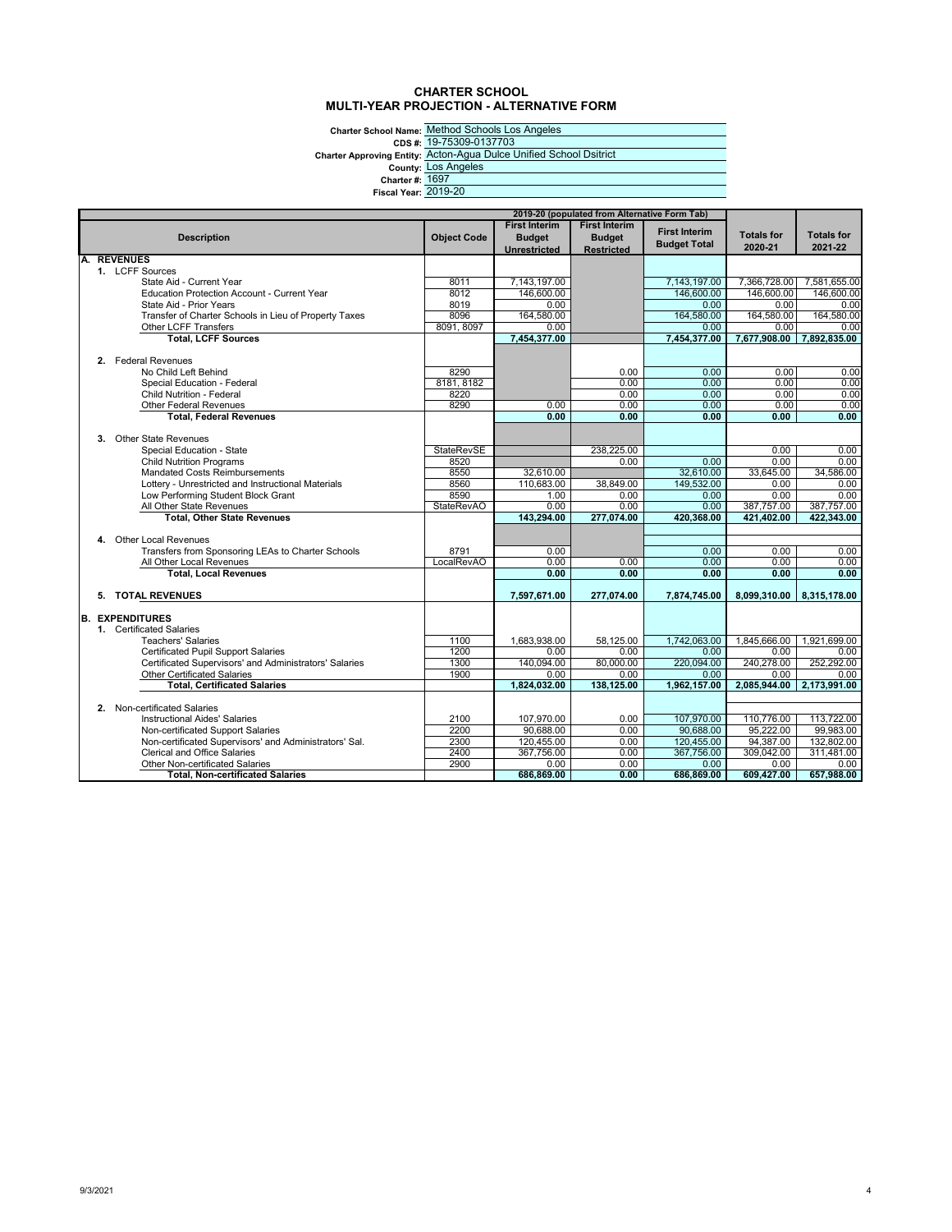#### **CHARTER SCHOOL MULTI-YEAR PROJECTION - ALTERNATIVE FORM**

Charter School Name: <u>Method</u><br>CDS #: <u>19-7530</u><br>Charter Approving Entity: <u>Lots And</u><br>County: <u>Lots And</u><br>Charter #: <u>1697</u><br>Fiscal Year: <u>2019-20</u>

Method Schools Los Angeles 19-75309-0137703 Acton-Agua Dulce Unified School Dsitrict Los Angeles 1697

|    |                                                                                                      |                    |                      | 2019-20 (populated from Alternative Form Tab) |                      |                    |                    |
|----|------------------------------------------------------------------------------------------------------|--------------------|----------------------|-----------------------------------------------|----------------------|--------------------|--------------------|
|    |                                                                                                      |                    | <b>First Interim</b> | <b>First Interim</b>                          | <b>First Interim</b> |                    |                    |
|    | <b>Description</b>                                                                                   | <b>Object Code</b> | <b>Budget</b>        | <b>Budget</b>                                 | <b>Budget Total</b>  | <b>Totals for</b>  | <b>Totals for</b>  |
|    |                                                                                                      |                    | Unrestricted         | <b>Restricted</b>                             |                      | 2020-21            | 2021-22            |
| A. | <b>REVENUES</b>                                                                                      |                    |                      |                                               |                      |                    |                    |
|    | 1. LCFF Sources                                                                                      |                    |                      |                                               |                      |                    |                    |
|    | State Aid - Current Year                                                                             | 8011               | 7,143,197.00         |                                               | 7,143,197.00         | 7,366,728.00       | 7,581,655.00       |
|    | <b>Education Protection Account - Current Year</b>                                                   | 8012               | 146,600.00           |                                               | 146.600.00           | 146,600.00         | 146.600.00         |
|    | State Aid - Prior Years                                                                              | 8019               | 0.00                 |                                               | 0.00                 | 0.00               | 0.00               |
|    | Transfer of Charter Schools in Lieu of Property Taxes                                                | 8096               | 164.580.00           |                                               | 164,580.00           | 164.580.00         | 164,580.00         |
|    | Other LCFF Transfers                                                                                 | 8091, 8097         | 0.00                 |                                               | 0.00                 | 0.00               | 0.00               |
|    | <b>Total, LCFF Sources</b>                                                                           |                    | 7,454,377.00         |                                               | 7,454,377.00         | 7,677,908.00       | 7,892,835.00       |
|    | 2. Federal Revenues                                                                                  |                    |                      |                                               |                      |                    |                    |
|    | No Child Left Behind                                                                                 | 8290               |                      | 0.00                                          | 0.00                 | 0.00               | 0.00               |
|    | Special Education - Federal                                                                          | 8181, 8182         |                      | 0.00                                          | 0.00                 | 0.00               | 0.00               |
|    | <b>Child Nutrition - Federal</b>                                                                     | 8220               |                      | 0.00                                          | 0.00                 | 0.00               | 0.00               |
|    | <b>Other Federal Revenues</b>                                                                        | 8290               | 0.00                 | 0.00                                          | 0.00                 | 0.00               | 0.00               |
|    | <b>Total, Federal Revenues</b>                                                                       |                    | 0.00                 | 0.00                                          | 0.00                 | 0.00               | 0.00               |
|    |                                                                                                      |                    |                      |                                               |                      |                    |                    |
| 3. | <b>Other State Revenues</b>                                                                          |                    |                      |                                               |                      |                    |                    |
|    | Special Education - State                                                                            | <b>StateRevSE</b>  |                      | 238,225.00                                    |                      | 0.00               | 0.00               |
|    | <b>Child Nutrition Programs</b>                                                                      | 8520               |                      | 0.00                                          | 0.00                 | 0.00               | 0.00               |
|    | <b>Mandated Costs Reimbursements</b>                                                                 | 8550               | 32,610.00            |                                               | 32,610.00            | 33,645.00          | 34,586.00          |
|    | Lottery - Unrestricted and Instructional Materials                                                   | 8560               | 110,683.00           | 38,849.00                                     | 149,532.00           | 0.00               | 0.00               |
|    | Low Performing Student Block Grant                                                                   | 8590               | 1.00                 | 0.00                                          | 0.00                 | 0.00               | 0.00               |
|    | All Other State Revenues                                                                             | <b>StateRevAO</b>  | 0.00                 | 0.00                                          | 0.00                 | 387,757.00         | 387,757.00         |
|    | <b>Total. Other State Revenues</b>                                                                   |                    | 143.294.00           | 277.074.00                                    | 420.368.00           | 421.402.00         | 422.343.00         |
|    |                                                                                                      |                    |                      |                                               |                      |                    |                    |
|    | 4. Other Local Revenues                                                                              |                    |                      |                                               |                      |                    |                    |
|    | Transfers from Sponsoring LEAs to Charter Schools                                                    | 8791               | 0.00                 |                                               | 0.00                 | 0.00               | 0.00               |
|    | All Other Local Revenues                                                                             | LocalRevAO         | 0.00                 | 0.00                                          | 0.00                 | 0.00               | 0.00               |
|    | <b>Total, Local Revenues</b>                                                                         |                    | 0.00                 | 0.00                                          | 0.00                 | 0.00               | 0.00               |
|    |                                                                                                      |                    |                      |                                               |                      |                    |                    |
|    | 5. TOTAL REVENUES                                                                                    |                    | 7,597,671.00         | 277,074.00                                    | 7,874,745.00         | 8,099,310.00       | 8,315,178.00       |
|    |                                                                                                      |                    |                      |                                               |                      |                    |                    |
|    | <b>B. EXPENDITURES</b>                                                                               |                    |                      |                                               |                      |                    |                    |
|    | 1. Certificated Salaries                                                                             |                    |                      |                                               |                      |                    |                    |
|    | <b>Teachers' Salaries</b>                                                                            | 1100               | 1,683,938.00         | 58,125.00                                     | 1,742,063.00         | 1,845,666.00       | 1,921,699.00       |
|    | <b>Certificated Pupil Support Salaries</b><br>Certificated Supervisors' and Administrators' Salaries | 1200<br>1300       | 0.00<br>140,094.00   | 0.00<br>80.000.00                             | 0.00<br>220.094.00   | 0.00<br>240,278.00 | 0.00<br>252,292.00 |
|    | <b>Other Certificated Salaries</b>                                                                   | 1900               | 0.00                 | 0.00                                          | 0.00                 | 0.00               | 0.00               |
|    | <b>Total, Certificated Salaries</b>                                                                  |                    | 1,824,032.00         | 138,125.00                                    | 1,962,157.00         | 2,085,944.00       | 2,173,991.00       |
|    |                                                                                                      |                    |                      |                                               |                      |                    |                    |
|    | 2. Non-certificated Salaries                                                                         |                    |                      |                                               |                      |                    |                    |
|    | Instructional Aides' Salaries                                                                        | 2100               | 107.970.00           | 0.00                                          | 107,970.00           | 110,776.00         | 113,722.00         |
|    | Non-certificated Support Salaries                                                                    | 2200               | 90,688.00            | 0.00                                          | 90,688.00            | 95,222.00          | 99,983.00          |
|    | Non-certificated Supervisors' and Administrators' Sal.                                               | 2300               | 120,455.00           | 0.00                                          | 120.455.00           | 94.387.00          | 132,802.00         |
|    | <b>Clerical and Office Salaries</b>                                                                  | 2400               | 367,756.00           | 0.00                                          | 367,756.00           | 309,042.00         | 311,481.00         |
|    | <b>Other Non-certificated Salaries</b>                                                               | 2900               | 0.00                 | 0.00                                          | 0.00                 | 0.00               | 0.00               |
|    | <b>Total, Non-certificated Salaries</b>                                                              |                    | 686.869.00           | 0.00                                          | 686.869.00           | 609.427.00         | 657,988.00         |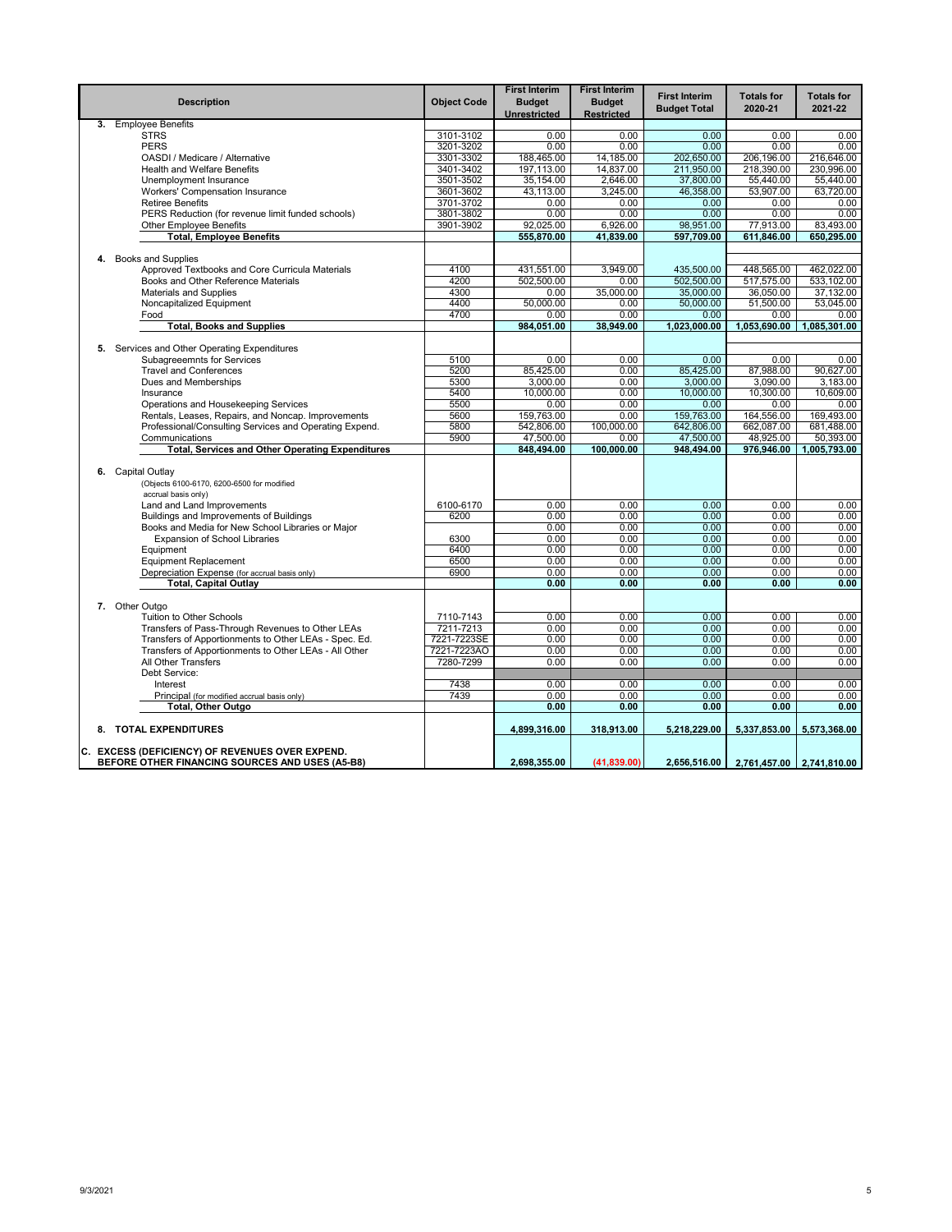| <b>Unrestricted</b><br><b>Restricted</b><br>3. Employee Benefits<br><b>STRS</b><br>3101-3102<br>0.00<br>0.00<br>0.00<br>0.00<br>0.00<br><b>PERS</b><br>3201-3202<br>0.00<br>0.00<br>0.00<br>0.00<br>0.00<br>202,650.00<br>OASDI / Medicare / Alternative<br>3301-3302<br>188,465.00<br>14,185.00<br>206,196.00<br>216,646.00<br>3401-3402<br>14.837.00<br>218.390.00<br>230.996.00<br>197,113.00<br>211.950.00<br><b>Health and Welfare Benefits</b><br>3501-3502<br>35,154.00<br>2,646.00<br>37,800.00<br>55,440.00<br>55,440.00<br>Unemployment Insurance<br>3601-3602<br>43,113.00<br>3,245.00<br>46,358.00<br>53,907.00<br>63.720.00<br>Workers' Compensation Insurance<br><b>Retiree Benefits</b><br>3701-3702<br>0.00<br>0.00<br>0.00<br>0.00<br>0.00<br>3801-3802<br>0.00<br>0.00<br>0.00<br>0.00<br>0.00<br>PERS Reduction (for revenue limit funded schools)<br>3901-3902<br>92,025.00<br>98.951.00<br>83.493.00<br><b>Other Employee Benefits</b><br>6,926.00<br>77,913.00<br><b>Total, Employee Benefits</b><br>555,870.00<br>41,839.00<br>597,709.00<br>611,846.00<br>650,295.00<br><b>Books and Supplies</b><br>4.<br>448,565.00<br>462.022.00<br>Approved Textbooks and Core Curricula Materials<br>4100<br>431,551.00<br>3,949.00<br>435,500.00<br>4200<br>502,500.00<br>502,500.00<br>517,575.00<br>533,102.00<br>Books and Other Reference Materials<br>0.00<br>4300<br>35,000.00<br>35,000.00<br>36,050.00<br>37,132.00<br><b>Materials and Supplies</b><br>0.00<br>4400<br>50.000.00<br>50,000.00<br>51,500.00<br>53.045.00<br>Noncapitalized Equipment<br>0.00<br>4700<br>0.00<br>0.00<br>0.00<br>0.00<br>Food<br>0.00<br><b>Total, Books and Supplies</b><br>984,051.00<br>38,949.00<br>1,023,000.00<br>1,053,690.00<br>1,085,301.00<br>5. Services and Other Operating Expenditures<br>0.00<br>Subagreeemnts for Services<br>5100<br>0.00<br>0.00<br>0.00<br>0.00<br>5200<br>85.425.00<br>85,425.00<br>87,988.00<br>90.627.00<br><b>Travel and Conferences</b><br>0.00<br>5300<br>0.00<br>3,000.00<br>3.000.00<br>3,090.00<br>3,183.00<br>Dues and Memberships<br>5400<br>10,000.00<br>0.00<br>10,000.00<br>10,300.00<br>10,609.00<br>Insurance<br>5500<br>Operations and Housekeeping Services<br>0.00<br>0.00<br>0.00<br>0.00<br>0.00<br>5600<br>159,763.00<br>164,556.00<br>Rentals, Leases, Repairs, and Noncap. Improvements<br>159,763.00<br>0.00<br>169,493.00<br>Professional/Consulting Services and Operating Expend.<br>5800<br>542,806.00<br>100,000.00<br>642,806.00<br>662,087.00<br>681,488.00<br>47,500.00<br>Communications<br>5900<br>47,500.00<br>0.00<br>48,925.00<br>50,393.00<br><b>Total, Services and Other Operating Expenditures</b><br>848,494.00<br>100,000.00<br>948,494.00<br>976,946.00<br>1,005,793.00<br>6. Capital Outlay<br>(Objects 6100-6170, 6200-6500 for modified<br>accrual basis only)<br>6100-6170<br>0.00<br>0.00<br>0.00<br>0.00<br>0.00<br>Land and Land Improvements<br>Buildings and Improvements of Buildings<br>6200<br>0.00<br>0.00<br>0.00<br>0.00<br>0.00<br>Books and Media for New School Libraries or Major<br>0.00<br>0.00<br>0.00<br>0.00<br>0.00<br>0.00<br>0.00<br>0.00<br>0.00<br><b>Expansion of School Libraries</b><br>6300<br>0.00<br>6400<br>0.00<br>0.00<br>0.00<br>0.00<br>0.00<br>Equipment<br>6500<br>0.00<br>0.00<br>0.00<br>0.00<br>0.00<br><b>Equipment Replacement</b><br>6900<br>0.00<br>0.00<br>0.00<br>0.00<br>0.00<br>Depreciation Expense (for accrual basis only)<br>0.00<br>0.00<br>0.00<br>0.00<br>0.00<br><b>Total, Capital Outlay</b><br>7. Other Outgo<br>0.00<br>Tuition to Other Schools<br>7110-7143<br>0.00<br>0.00<br>0.00<br>0.00<br>7211-7213<br>0.00<br>0.00<br>0.00<br>0.00<br>Transfers of Pass-Through Revenues to Other LEAs<br>0.00<br>0.00<br>0.00<br>7221-7223SE<br>0.00<br>0.00<br>0.00<br>Transfers of Apportionments to Other LEAs - Spec. Ed.<br>7221-7223AO<br>0.00<br>0.00<br>0.00<br>0.00<br>Transfers of Apportionments to Other LEAs - All Other<br>0.00<br>7280-7299<br>0.00<br>0.00<br>0.00<br>All Other Transfers<br>0.00<br>0.00<br>Debt Service:<br>7438<br>0.00<br>0.00<br>0.00<br>0.00<br>0.00<br>Interest<br>7439<br>Principal (for modified accrual basis only)<br>0.00<br>0.00<br>0.00<br>0.00<br>0.00<br><b>Total, Other Outgo</b><br>0.00<br>0.00<br>0.00<br>0.00<br>0.00<br>8. TOTAL EXPENDITURES<br>4,899,316.00<br>318,913.00<br>5,218,229.00<br>5,337,853.00<br>5,573,368.00<br>C. EXCESS (DEFICIENCY) OF REVENUES OVER EXPEND.<br>BEFORE OTHER FINANCING SOURCES AND USES (A5-B8)<br>2,698,355.00<br>(41,839.00)<br>2,656,516.00<br>2,761,457.00 2,741,810.00 | <b>Description</b> | <b>Object Code</b> | <b>First Interim</b><br><b>Budget</b> | <b>First Interim</b><br><b>Budget</b> | <b>First Interim</b> | <b>Totals for</b> | <b>Totals for</b> |
|-------------------------------------------------------------------------------------------------------------------------------------------------------------------------------------------------------------------------------------------------------------------------------------------------------------------------------------------------------------------------------------------------------------------------------------------------------------------------------------------------------------------------------------------------------------------------------------------------------------------------------------------------------------------------------------------------------------------------------------------------------------------------------------------------------------------------------------------------------------------------------------------------------------------------------------------------------------------------------------------------------------------------------------------------------------------------------------------------------------------------------------------------------------------------------------------------------------------------------------------------------------------------------------------------------------------------------------------------------------------------------------------------------------------------------------------------------------------------------------------------------------------------------------------------------------------------------------------------------------------------------------------------------------------------------------------------------------------------------------------------------------------------------------------------------------------------------------------------------------------------------------------------------------------------------------------------------------------------------------------------------------------------------------------------------------------------------------------------------------------------------------------------------------------------------------------------------------------------------------------------------------------------------------------------------------------------------------------------------------------------------------------------------------------------------------------------------------------------------------------------------------------------------------------------------------------------------------------------------------------------------------------------------------------------------------------------------------------------------------------------------------------------------------------------------------------------------------------------------------------------------------------------------------------------------------------------------------------------------------------------------------------------------------------------------------------------------------------------------------------------------------------------------------------------------------------------------------------------------------------------------------------------------------------------------------------------------------------------------------------------------------------------------------------------------------------------------------------------------------------------------------------------------------------------------------------------------------------------------------------------------------------------------------------------------------------------------------------------------------------------------------------------------------------------------------------------------------------------------------------------------------------------------------------------------------------------------------------------------------------------------------------------------------------------------------------------------------------------------------------------------------------------------------------------------------------------------------------------------------------------------------------------------------------------------------------------------------------------------------------------------------------------------------------------------------------------------------------------------------------------------------------------------------------------------------------------------------------------------------------|--------------------|--------------------|---------------------------------------|---------------------------------------|----------------------|-------------------|-------------------|
|                                                                                                                                                                                                                                                                                                                                                                                                                                                                                                                                                                                                                                                                                                                                                                                                                                                                                                                                                                                                                                                                                                                                                                                                                                                                                                                                                                                                                                                                                                                                                                                                                                                                                                                                                                                                                                                                                                                                                                                                                                                                                                                                                                                                                                                                                                                                                                                                                                                                                                                                                                                                                                                                                                                                                                                                                                                                                                                                                                                                                                                                                                                                                                                                                                                                                                                                                                                                                                                                                                                                                                                                                                                                                                                                                                                                                                                                                                                                                                                                                                                                                                                                                                                                                                                                                                                                                                                                                                                                                                                                                                                                                   |                    |                    |                                       |                                       | <b>Budget Total</b>  | 2020-21           | 2021-22           |
|                                                                                                                                                                                                                                                                                                                                                                                                                                                                                                                                                                                                                                                                                                                                                                                                                                                                                                                                                                                                                                                                                                                                                                                                                                                                                                                                                                                                                                                                                                                                                                                                                                                                                                                                                                                                                                                                                                                                                                                                                                                                                                                                                                                                                                                                                                                                                                                                                                                                                                                                                                                                                                                                                                                                                                                                                                                                                                                                                                                                                                                                                                                                                                                                                                                                                                                                                                                                                                                                                                                                                                                                                                                                                                                                                                                                                                                                                                                                                                                                                                                                                                                                                                                                                                                                                                                                                                                                                                                                                                                                                                                                                   |                    |                    |                                       |                                       |                      |                   |                   |
|                                                                                                                                                                                                                                                                                                                                                                                                                                                                                                                                                                                                                                                                                                                                                                                                                                                                                                                                                                                                                                                                                                                                                                                                                                                                                                                                                                                                                                                                                                                                                                                                                                                                                                                                                                                                                                                                                                                                                                                                                                                                                                                                                                                                                                                                                                                                                                                                                                                                                                                                                                                                                                                                                                                                                                                                                                                                                                                                                                                                                                                                                                                                                                                                                                                                                                                                                                                                                                                                                                                                                                                                                                                                                                                                                                                                                                                                                                                                                                                                                                                                                                                                                                                                                                                                                                                                                                                                                                                                                                                                                                                                                   |                    |                    |                                       |                                       |                      |                   |                   |
|                                                                                                                                                                                                                                                                                                                                                                                                                                                                                                                                                                                                                                                                                                                                                                                                                                                                                                                                                                                                                                                                                                                                                                                                                                                                                                                                                                                                                                                                                                                                                                                                                                                                                                                                                                                                                                                                                                                                                                                                                                                                                                                                                                                                                                                                                                                                                                                                                                                                                                                                                                                                                                                                                                                                                                                                                                                                                                                                                                                                                                                                                                                                                                                                                                                                                                                                                                                                                                                                                                                                                                                                                                                                                                                                                                                                                                                                                                                                                                                                                                                                                                                                                                                                                                                                                                                                                                                                                                                                                                                                                                                                                   |                    |                    |                                       |                                       |                      |                   |                   |
|                                                                                                                                                                                                                                                                                                                                                                                                                                                                                                                                                                                                                                                                                                                                                                                                                                                                                                                                                                                                                                                                                                                                                                                                                                                                                                                                                                                                                                                                                                                                                                                                                                                                                                                                                                                                                                                                                                                                                                                                                                                                                                                                                                                                                                                                                                                                                                                                                                                                                                                                                                                                                                                                                                                                                                                                                                                                                                                                                                                                                                                                                                                                                                                                                                                                                                                                                                                                                                                                                                                                                                                                                                                                                                                                                                                                                                                                                                                                                                                                                                                                                                                                                                                                                                                                                                                                                                                                                                                                                                                                                                                                                   |                    |                    |                                       |                                       |                      |                   |                   |
|                                                                                                                                                                                                                                                                                                                                                                                                                                                                                                                                                                                                                                                                                                                                                                                                                                                                                                                                                                                                                                                                                                                                                                                                                                                                                                                                                                                                                                                                                                                                                                                                                                                                                                                                                                                                                                                                                                                                                                                                                                                                                                                                                                                                                                                                                                                                                                                                                                                                                                                                                                                                                                                                                                                                                                                                                                                                                                                                                                                                                                                                                                                                                                                                                                                                                                                                                                                                                                                                                                                                                                                                                                                                                                                                                                                                                                                                                                                                                                                                                                                                                                                                                                                                                                                                                                                                                                                                                                                                                                                                                                                                                   |                    |                    |                                       |                                       |                      |                   |                   |
|                                                                                                                                                                                                                                                                                                                                                                                                                                                                                                                                                                                                                                                                                                                                                                                                                                                                                                                                                                                                                                                                                                                                                                                                                                                                                                                                                                                                                                                                                                                                                                                                                                                                                                                                                                                                                                                                                                                                                                                                                                                                                                                                                                                                                                                                                                                                                                                                                                                                                                                                                                                                                                                                                                                                                                                                                                                                                                                                                                                                                                                                                                                                                                                                                                                                                                                                                                                                                                                                                                                                                                                                                                                                                                                                                                                                                                                                                                                                                                                                                                                                                                                                                                                                                                                                                                                                                                                                                                                                                                                                                                                                                   |                    |                    |                                       |                                       |                      |                   |                   |
|                                                                                                                                                                                                                                                                                                                                                                                                                                                                                                                                                                                                                                                                                                                                                                                                                                                                                                                                                                                                                                                                                                                                                                                                                                                                                                                                                                                                                                                                                                                                                                                                                                                                                                                                                                                                                                                                                                                                                                                                                                                                                                                                                                                                                                                                                                                                                                                                                                                                                                                                                                                                                                                                                                                                                                                                                                                                                                                                                                                                                                                                                                                                                                                                                                                                                                                                                                                                                                                                                                                                                                                                                                                                                                                                                                                                                                                                                                                                                                                                                                                                                                                                                                                                                                                                                                                                                                                                                                                                                                                                                                                                                   |                    |                    |                                       |                                       |                      |                   |                   |
|                                                                                                                                                                                                                                                                                                                                                                                                                                                                                                                                                                                                                                                                                                                                                                                                                                                                                                                                                                                                                                                                                                                                                                                                                                                                                                                                                                                                                                                                                                                                                                                                                                                                                                                                                                                                                                                                                                                                                                                                                                                                                                                                                                                                                                                                                                                                                                                                                                                                                                                                                                                                                                                                                                                                                                                                                                                                                                                                                                                                                                                                                                                                                                                                                                                                                                                                                                                                                                                                                                                                                                                                                                                                                                                                                                                                                                                                                                                                                                                                                                                                                                                                                                                                                                                                                                                                                                                                                                                                                                                                                                                                                   |                    |                    |                                       |                                       |                      |                   |                   |
|                                                                                                                                                                                                                                                                                                                                                                                                                                                                                                                                                                                                                                                                                                                                                                                                                                                                                                                                                                                                                                                                                                                                                                                                                                                                                                                                                                                                                                                                                                                                                                                                                                                                                                                                                                                                                                                                                                                                                                                                                                                                                                                                                                                                                                                                                                                                                                                                                                                                                                                                                                                                                                                                                                                                                                                                                                                                                                                                                                                                                                                                                                                                                                                                                                                                                                                                                                                                                                                                                                                                                                                                                                                                                                                                                                                                                                                                                                                                                                                                                                                                                                                                                                                                                                                                                                                                                                                                                                                                                                                                                                                                                   |                    |                    |                                       |                                       |                      |                   |                   |
|                                                                                                                                                                                                                                                                                                                                                                                                                                                                                                                                                                                                                                                                                                                                                                                                                                                                                                                                                                                                                                                                                                                                                                                                                                                                                                                                                                                                                                                                                                                                                                                                                                                                                                                                                                                                                                                                                                                                                                                                                                                                                                                                                                                                                                                                                                                                                                                                                                                                                                                                                                                                                                                                                                                                                                                                                                                                                                                                                                                                                                                                                                                                                                                                                                                                                                                                                                                                                                                                                                                                                                                                                                                                                                                                                                                                                                                                                                                                                                                                                                                                                                                                                                                                                                                                                                                                                                                                                                                                                                                                                                                                                   |                    |                    |                                       |                                       |                      |                   |                   |
|                                                                                                                                                                                                                                                                                                                                                                                                                                                                                                                                                                                                                                                                                                                                                                                                                                                                                                                                                                                                                                                                                                                                                                                                                                                                                                                                                                                                                                                                                                                                                                                                                                                                                                                                                                                                                                                                                                                                                                                                                                                                                                                                                                                                                                                                                                                                                                                                                                                                                                                                                                                                                                                                                                                                                                                                                                                                                                                                                                                                                                                                                                                                                                                                                                                                                                                                                                                                                                                                                                                                                                                                                                                                                                                                                                                                                                                                                                                                                                                                                                                                                                                                                                                                                                                                                                                                                                                                                                                                                                                                                                                                                   |                    |                    |                                       |                                       |                      |                   |                   |
|                                                                                                                                                                                                                                                                                                                                                                                                                                                                                                                                                                                                                                                                                                                                                                                                                                                                                                                                                                                                                                                                                                                                                                                                                                                                                                                                                                                                                                                                                                                                                                                                                                                                                                                                                                                                                                                                                                                                                                                                                                                                                                                                                                                                                                                                                                                                                                                                                                                                                                                                                                                                                                                                                                                                                                                                                                                                                                                                                                                                                                                                                                                                                                                                                                                                                                                                                                                                                                                                                                                                                                                                                                                                                                                                                                                                                                                                                                                                                                                                                                                                                                                                                                                                                                                                                                                                                                                                                                                                                                                                                                                                                   |                    |                    |                                       |                                       |                      |                   |                   |
|                                                                                                                                                                                                                                                                                                                                                                                                                                                                                                                                                                                                                                                                                                                                                                                                                                                                                                                                                                                                                                                                                                                                                                                                                                                                                                                                                                                                                                                                                                                                                                                                                                                                                                                                                                                                                                                                                                                                                                                                                                                                                                                                                                                                                                                                                                                                                                                                                                                                                                                                                                                                                                                                                                                                                                                                                                                                                                                                                                                                                                                                                                                                                                                                                                                                                                                                                                                                                                                                                                                                                                                                                                                                                                                                                                                                                                                                                                                                                                                                                                                                                                                                                                                                                                                                                                                                                                                                                                                                                                                                                                                                                   |                    |                    |                                       |                                       |                      |                   |                   |
|                                                                                                                                                                                                                                                                                                                                                                                                                                                                                                                                                                                                                                                                                                                                                                                                                                                                                                                                                                                                                                                                                                                                                                                                                                                                                                                                                                                                                                                                                                                                                                                                                                                                                                                                                                                                                                                                                                                                                                                                                                                                                                                                                                                                                                                                                                                                                                                                                                                                                                                                                                                                                                                                                                                                                                                                                                                                                                                                                                                                                                                                                                                                                                                                                                                                                                                                                                                                                                                                                                                                                                                                                                                                                                                                                                                                                                                                                                                                                                                                                                                                                                                                                                                                                                                                                                                                                                                                                                                                                                                                                                                                                   |                    |                    |                                       |                                       |                      |                   |                   |
|                                                                                                                                                                                                                                                                                                                                                                                                                                                                                                                                                                                                                                                                                                                                                                                                                                                                                                                                                                                                                                                                                                                                                                                                                                                                                                                                                                                                                                                                                                                                                                                                                                                                                                                                                                                                                                                                                                                                                                                                                                                                                                                                                                                                                                                                                                                                                                                                                                                                                                                                                                                                                                                                                                                                                                                                                                                                                                                                                                                                                                                                                                                                                                                                                                                                                                                                                                                                                                                                                                                                                                                                                                                                                                                                                                                                                                                                                                                                                                                                                                                                                                                                                                                                                                                                                                                                                                                                                                                                                                                                                                                                                   |                    |                    |                                       |                                       |                      |                   |                   |
|                                                                                                                                                                                                                                                                                                                                                                                                                                                                                                                                                                                                                                                                                                                                                                                                                                                                                                                                                                                                                                                                                                                                                                                                                                                                                                                                                                                                                                                                                                                                                                                                                                                                                                                                                                                                                                                                                                                                                                                                                                                                                                                                                                                                                                                                                                                                                                                                                                                                                                                                                                                                                                                                                                                                                                                                                                                                                                                                                                                                                                                                                                                                                                                                                                                                                                                                                                                                                                                                                                                                                                                                                                                                                                                                                                                                                                                                                                                                                                                                                                                                                                                                                                                                                                                                                                                                                                                                                                                                                                                                                                                                                   |                    |                    |                                       |                                       |                      |                   |                   |
|                                                                                                                                                                                                                                                                                                                                                                                                                                                                                                                                                                                                                                                                                                                                                                                                                                                                                                                                                                                                                                                                                                                                                                                                                                                                                                                                                                                                                                                                                                                                                                                                                                                                                                                                                                                                                                                                                                                                                                                                                                                                                                                                                                                                                                                                                                                                                                                                                                                                                                                                                                                                                                                                                                                                                                                                                                                                                                                                                                                                                                                                                                                                                                                                                                                                                                                                                                                                                                                                                                                                                                                                                                                                                                                                                                                                                                                                                                                                                                                                                                                                                                                                                                                                                                                                                                                                                                                                                                                                                                                                                                                                                   |                    |                    |                                       |                                       |                      |                   |                   |
|                                                                                                                                                                                                                                                                                                                                                                                                                                                                                                                                                                                                                                                                                                                                                                                                                                                                                                                                                                                                                                                                                                                                                                                                                                                                                                                                                                                                                                                                                                                                                                                                                                                                                                                                                                                                                                                                                                                                                                                                                                                                                                                                                                                                                                                                                                                                                                                                                                                                                                                                                                                                                                                                                                                                                                                                                                                                                                                                                                                                                                                                                                                                                                                                                                                                                                                                                                                                                                                                                                                                                                                                                                                                                                                                                                                                                                                                                                                                                                                                                                                                                                                                                                                                                                                                                                                                                                                                                                                                                                                                                                                                                   |                    |                    |                                       |                                       |                      |                   |                   |
|                                                                                                                                                                                                                                                                                                                                                                                                                                                                                                                                                                                                                                                                                                                                                                                                                                                                                                                                                                                                                                                                                                                                                                                                                                                                                                                                                                                                                                                                                                                                                                                                                                                                                                                                                                                                                                                                                                                                                                                                                                                                                                                                                                                                                                                                                                                                                                                                                                                                                                                                                                                                                                                                                                                                                                                                                                                                                                                                                                                                                                                                                                                                                                                                                                                                                                                                                                                                                                                                                                                                                                                                                                                                                                                                                                                                                                                                                                                                                                                                                                                                                                                                                                                                                                                                                                                                                                                                                                                                                                                                                                                                                   |                    |                    |                                       |                                       |                      |                   |                   |
|                                                                                                                                                                                                                                                                                                                                                                                                                                                                                                                                                                                                                                                                                                                                                                                                                                                                                                                                                                                                                                                                                                                                                                                                                                                                                                                                                                                                                                                                                                                                                                                                                                                                                                                                                                                                                                                                                                                                                                                                                                                                                                                                                                                                                                                                                                                                                                                                                                                                                                                                                                                                                                                                                                                                                                                                                                                                                                                                                                                                                                                                                                                                                                                                                                                                                                                                                                                                                                                                                                                                                                                                                                                                                                                                                                                                                                                                                                                                                                                                                                                                                                                                                                                                                                                                                                                                                                                                                                                                                                                                                                                                                   |                    |                    |                                       |                                       |                      |                   |                   |
|                                                                                                                                                                                                                                                                                                                                                                                                                                                                                                                                                                                                                                                                                                                                                                                                                                                                                                                                                                                                                                                                                                                                                                                                                                                                                                                                                                                                                                                                                                                                                                                                                                                                                                                                                                                                                                                                                                                                                                                                                                                                                                                                                                                                                                                                                                                                                                                                                                                                                                                                                                                                                                                                                                                                                                                                                                                                                                                                                                                                                                                                                                                                                                                                                                                                                                                                                                                                                                                                                                                                                                                                                                                                                                                                                                                                                                                                                                                                                                                                                                                                                                                                                                                                                                                                                                                                                                                                                                                                                                                                                                                                                   |                    |                    |                                       |                                       |                      |                   |                   |
|                                                                                                                                                                                                                                                                                                                                                                                                                                                                                                                                                                                                                                                                                                                                                                                                                                                                                                                                                                                                                                                                                                                                                                                                                                                                                                                                                                                                                                                                                                                                                                                                                                                                                                                                                                                                                                                                                                                                                                                                                                                                                                                                                                                                                                                                                                                                                                                                                                                                                                                                                                                                                                                                                                                                                                                                                                                                                                                                                                                                                                                                                                                                                                                                                                                                                                                                                                                                                                                                                                                                                                                                                                                                                                                                                                                                                                                                                                                                                                                                                                                                                                                                                                                                                                                                                                                                                                                                                                                                                                                                                                                                                   |                    |                    |                                       |                                       |                      |                   |                   |
|                                                                                                                                                                                                                                                                                                                                                                                                                                                                                                                                                                                                                                                                                                                                                                                                                                                                                                                                                                                                                                                                                                                                                                                                                                                                                                                                                                                                                                                                                                                                                                                                                                                                                                                                                                                                                                                                                                                                                                                                                                                                                                                                                                                                                                                                                                                                                                                                                                                                                                                                                                                                                                                                                                                                                                                                                                                                                                                                                                                                                                                                                                                                                                                                                                                                                                                                                                                                                                                                                                                                                                                                                                                                                                                                                                                                                                                                                                                                                                                                                                                                                                                                                                                                                                                                                                                                                                                                                                                                                                                                                                                                                   |                    |                    |                                       |                                       |                      |                   |                   |
|                                                                                                                                                                                                                                                                                                                                                                                                                                                                                                                                                                                                                                                                                                                                                                                                                                                                                                                                                                                                                                                                                                                                                                                                                                                                                                                                                                                                                                                                                                                                                                                                                                                                                                                                                                                                                                                                                                                                                                                                                                                                                                                                                                                                                                                                                                                                                                                                                                                                                                                                                                                                                                                                                                                                                                                                                                                                                                                                                                                                                                                                                                                                                                                                                                                                                                                                                                                                                                                                                                                                                                                                                                                                                                                                                                                                                                                                                                                                                                                                                                                                                                                                                                                                                                                                                                                                                                                                                                                                                                                                                                                                                   |                    |                    |                                       |                                       |                      |                   |                   |
|                                                                                                                                                                                                                                                                                                                                                                                                                                                                                                                                                                                                                                                                                                                                                                                                                                                                                                                                                                                                                                                                                                                                                                                                                                                                                                                                                                                                                                                                                                                                                                                                                                                                                                                                                                                                                                                                                                                                                                                                                                                                                                                                                                                                                                                                                                                                                                                                                                                                                                                                                                                                                                                                                                                                                                                                                                                                                                                                                                                                                                                                                                                                                                                                                                                                                                                                                                                                                                                                                                                                                                                                                                                                                                                                                                                                                                                                                                                                                                                                                                                                                                                                                                                                                                                                                                                                                                                                                                                                                                                                                                                                                   |                    |                    |                                       |                                       |                      |                   |                   |
|                                                                                                                                                                                                                                                                                                                                                                                                                                                                                                                                                                                                                                                                                                                                                                                                                                                                                                                                                                                                                                                                                                                                                                                                                                                                                                                                                                                                                                                                                                                                                                                                                                                                                                                                                                                                                                                                                                                                                                                                                                                                                                                                                                                                                                                                                                                                                                                                                                                                                                                                                                                                                                                                                                                                                                                                                                                                                                                                                                                                                                                                                                                                                                                                                                                                                                                                                                                                                                                                                                                                                                                                                                                                                                                                                                                                                                                                                                                                                                                                                                                                                                                                                                                                                                                                                                                                                                                                                                                                                                                                                                                                                   |                    |                    |                                       |                                       |                      |                   |                   |
|                                                                                                                                                                                                                                                                                                                                                                                                                                                                                                                                                                                                                                                                                                                                                                                                                                                                                                                                                                                                                                                                                                                                                                                                                                                                                                                                                                                                                                                                                                                                                                                                                                                                                                                                                                                                                                                                                                                                                                                                                                                                                                                                                                                                                                                                                                                                                                                                                                                                                                                                                                                                                                                                                                                                                                                                                                                                                                                                                                                                                                                                                                                                                                                                                                                                                                                                                                                                                                                                                                                                                                                                                                                                                                                                                                                                                                                                                                                                                                                                                                                                                                                                                                                                                                                                                                                                                                                                                                                                                                                                                                                                                   |                    |                    |                                       |                                       |                      |                   |                   |
|                                                                                                                                                                                                                                                                                                                                                                                                                                                                                                                                                                                                                                                                                                                                                                                                                                                                                                                                                                                                                                                                                                                                                                                                                                                                                                                                                                                                                                                                                                                                                                                                                                                                                                                                                                                                                                                                                                                                                                                                                                                                                                                                                                                                                                                                                                                                                                                                                                                                                                                                                                                                                                                                                                                                                                                                                                                                                                                                                                                                                                                                                                                                                                                                                                                                                                                                                                                                                                                                                                                                                                                                                                                                                                                                                                                                                                                                                                                                                                                                                                                                                                                                                                                                                                                                                                                                                                                                                                                                                                                                                                                                                   |                    |                    |                                       |                                       |                      |                   |                   |
|                                                                                                                                                                                                                                                                                                                                                                                                                                                                                                                                                                                                                                                                                                                                                                                                                                                                                                                                                                                                                                                                                                                                                                                                                                                                                                                                                                                                                                                                                                                                                                                                                                                                                                                                                                                                                                                                                                                                                                                                                                                                                                                                                                                                                                                                                                                                                                                                                                                                                                                                                                                                                                                                                                                                                                                                                                                                                                                                                                                                                                                                                                                                                                                                                                                                                                                                                                                                                                                                                                                                                                                                                                                                                                                                                                                                                                                                                                                                                                                                                                                                                                                                                                                                                                                                                                                                                                                                                                                                                                                                                                                                                   |                    |                    |                                       |                                       |                      |                   |                   |
|                                                                                                                                                                                                                                                                                                                                                                                                                                                                                                                                                                                                                                                                                                                                                                                                                                                                                                                                                                                                                                                                                                                                                                                                                                                                                                                                                                                                                                                                                                                                                                                                                                                                                                                                                                                                                                                                                                                                                                                                                                                                                                                                                                                                                                                                                                                                                                                                                                                                                                                                                                                                                                                                                                                                                                                                                                                                                                                                                                                                                                                                                                                                                                                                                                                                                                                                                                                                                                                                                                                                                                                                                                                                                                                                                                                                                                                                                                                                                                                                                                                                                                                                                                                                                                                                                                                                                                                                                                                                                                                                                                                                                   |                    |                    |                                       |                                       |                      |                   |                   |
|                                                                                                                                                                                                                                                                                                                                                                                                                                                                                                                                                                                                                                                                                                                                                                                                                                                                                                                                                                                                                                                                                                                                                                                                                                                                                                                                                                                                                                                                                                                                                                                                                                                                                                                                                                                                                                                                                                                                                                                                                                                                                                                                                                                                                                                                                                                                                                                                                                                                                                                                                                                                                                                                                                                                                                                                                                                                                                                                                                                                                                                                                                                                                                                                                                                                                                                                                                                                                                                                                                                                                                                                                                                                                                                                                                                                                                                                                                                                                                                                                                                                                                                                                                                                                                                                                                                                                                                                                                                                                                                                                                                                                   |                    |                    |                                       |                                       |                      |                   |                   |
|                                                                                                                                                                                                                                                                                                                                                                                                                                                                                                                                                                                                                                                                                                                                                                                                                                                                                                                                                                                                                                                                                                                                                                                                                                                                                                                                                                                                                                                                                                                                                                                                                                                                                                                                                                                                                                                                                                                                                                                                                                                                                                                                                                                                                                                                                                                                                                                                                                                                                                                                                                                                                                                                                                                                                                                                                                                                                                                                                                                                                                                                                                                                                                                                                                                                                                                                                                                                                                                                                                                                                                                                                                                                                                                                                                                                                                                                                                                                                                                                                                                                                                                                                                                                                                                                                                                                                                                                                                                                                                                                                                                                                   |                    |                    |                                       |                                       |                      |                   |                   |
|                                                                                                                                                                                                                                                                                                                                                                                                                                                                                                                                                                                                                                                                                                                                                                                                                                                                                                                                                                                                                                                                                                                                                                                                                                                                                                                                                                                                                                                                                                                                                                                                                                                                                                                                                                                                                                                                                                                                                                                                                                                                                                                                                                                                                                                                                                                                                                                                                                                                                                                                                                                                                                                                                                                                                                                                                                                                                                                                                                                                                                                                                                                                                                                                                                                                                                                                                                                                                                                                                                                                                                                                                                                                                                                                                                                                                                                                                                                                                                                                                                                                                                                                                                                                                                                                                                                                                                                                                                                                                                                                                                                                                   |                    |                    |                                       |                                       |                      |                   |                   |
|                                                                                                                                                                                                                                                                                                                                                                                                                                                                                                                                                                                                                                                                                                                                                                                                                                                                                                                                                                                                                                                                                                                                                                                                                                                                                                                                                                                                                                                                                                                                                                                                                                                                                                                                                                                                                                                                                                                                                                                                                                                                                                                                                                                                                                                                                                                                                                                                                                                                                                                                                                                                                                                                                                                                                                                                                                                                                                                                                                                                                                                                                                                                                                                                                                                                                                                                                                                                                                                                                                                                                                                                                                                                                                                                                                                                                                                                                                                                                                                                                                                                                                                                                                                                                                                                                                                                                                                                                                                                                                                                                                                                                   |                    |                    |                                       |                                       |                      |                   |                   |
|                                                                                                                                                                                                                                                                                                                                                                                                                                                                                                                                                                                                                                                                                                                                                                                                                                                                                                                                                                                                                                                                                                                                                                                                                                                                                                                                                                                                                                                                                                                                                                                                                                                                                                                                                                                                                                                                                                                                                                                                                                                                                                                                                                                                                                                                                                                                                                                                                                                                                                                                                                                                                                                                                                                                                                                                                                                                                                                                                                                                                                                                                                                                                                                                                                                                                                                                                                                                                                                                                                                                                                                                                                                                                                                                                                                                                                                                                                                                                                                                                                                                                                                                                                                                                                                                                                                                                                                                                                                                                                                                                                                                                   |                    |                    |                                       |                                       |                      |                   |                   |
|                                                                                                                                                                                                                                                                                                                                                                                                                                                                                                                                                                                                                                                                                                                                                                                                                                                                                                                                                                                                                                                                                                                                                                                                                                                                                                                                                                                                                                                                                                                                                                                                                                                                                                                                                                                                                                                                                                                                                                                                                                                                                                                                                                                                                                                                                                                                                                                                                                                                                                                                                                                                                                                                                                                                                                                                                                                                                                                                                                                                                                                                                                                                                                                                                                                                                                                                                                                                                                                                                                                                                                                                                                                                                                                                                                                                                                                                                                                                                                                                                                                                                                                                                                                                                                                                                                                                                                                                                                                                                                                                                                                                                   |                    |                    |                                       |                                       |                      |                   |                   |
|                                                                                                                                                                                                                                                                                                                                                                                                                                                                                                                                                                                                                                                                                                                                                                                                                                                                                                                                                                                                                                                                                                                                                                                                                                                                                                                                                                                                                                                                                                                                                                                                                                                                                                                                                                                                                                                                                                                                                                                                                                                                                                                                                                                                                                                                                                                                                                                                                                                                                                                                                                                                                                                                                                                                                                                                                                                                                                                                                                                                                                                                                                                                                                                                                                                                                                                                                                                                                                                                                                                                                                                                                                                                                                                                                                                                                                                                                                                                                                                                                                                                                                                                                                                                                                                                                                                                                                                                                                                                                                                                                                                                                   |                    |                    |                                       |                                       |                      |                   |                   |
|                                                                                                                                                                                                                                                                                                                                                                                                                                                                                                                                                                                                                                                                                                                                                                                                                                                                                                                                                                                                                                                                                                                                                                                                                                                                                                                                                                                                                                                                                                                                                                                                                                                                                                                                                                                                                                                                                                                                                                                                                                                                                                                                                                                                                                                                                                                                                                                                                                                                                                                                                                                                                                                                                                                                                                                                                                                                                                                                                                                                                                                                                                                                                                                                                                                                                                                                                                                                                                                                                                                                                                                                                                                                                                                                                                                                                                                                                                                                                                                                                                                                                                                                                                                                                                                                                                                                                                                                                                                                                                                                                                                                                   |                    |                    |                                       |                                       |                      |                   |                   |
|                                                                                                                                                                                                                                                                                                                                                                                                                                                                                                                                                                                                                                                                                                                                                                                                                                                                                                                                                                                                                                                                                                                                                                                                                                                                                                                                                                                                                                                                                                                                                                                                                                                                                                                                                                                                                                                                                                                                                                                                                                                                                                                                                                                                                                                                                                                                                                                                                                                                                                                                                                                                                                                                                                                                                                                                                                                                                                                                                                                                                                                                                                                                                                                                                                                                                                                                                                                                                                                                                                                                                                                                                                                                                                                                                                                                                                                                                                                                                                                                                                                                                                                                                                                                                                                                                                                                                                                                                                                                                                                                                                                                                   |                    |                    |                                       |                                       |                      |                   |                   |
|                                                                                                                                                                                                                                                                                                                                                                                                                                                                                                                                                                                                                                                                                                                                                                                                                                                                                                                                                                                                                                                                                                                                                                                                                                                                                                                                                                                                                                                                                                                                                                                                                                                                                                                                                                                                                                                                                                                                                                                                                                                                                                                                                                                                                                                                                                                                                                                                                                                                                                                                                                                                                                                                                                                                                                                                                                                                                                                                                                                                                                                                                                                                                                                                                                                                                                                                                                                                                                                                                                                                                                                                                                                                                                                                                                                                                                                                                                                                                                                                                                                                                                                                                                                                                                                                                                                                                                                                                                                                                                                                                                                                                   |                    |                    |                                       |                                       |                      |                   |                   |
|                                                                                                                                                                                                                                                                                                                                                                                                                                                                                                                                                                                                                                                                                                                                                                                                                                                                                                                                                                                                                                                                                                                                                                                                                                                                                                                                                                                                                                                                                                                                                                                                                                                                                                                                                                                                                                                                                                                                                                                                                                                                                                                                                                                                                                                                                                                                                                                                                                                                                                                                                                                                                                                                                                                                                                                                                                                                                                                                                                                                                                                                                                                                                                                                                                                                                                                                                                                                                                                                                                                                                                                                                                                                                                                                                                                                                                                                                                                                                                                                                                                                                                                                                                                                                                                                                                                                                                                                                                                                                                                                                                                                                   |                    |                    |                                       |                                       |                      |                   |                   |
|                                                                                                                                                                                                                                                                                                                                                                                                                                                                                                                                                                                                                                                                                                                                                                                                                                                                                                                                                                                                                                                                                                                                                                                                                                                                                                                                                                                                                                                                                                                                                                                                                                                                                                                                                                                                                                                                                                                                                                                                                                                                                                                                                                                                                                                                                                                                                                                                                                                                                                                                                                                                                                                                                                                                                                                                                                                                                                                                                                                                                                                                                                                                                                                                                                                                                                                                                                                                                                                                                                                                                                                                                                                                                                                                                                                                                                                                                                                                                                                                                                                                                                                                                                                                                                                                                                                                                                                                                                                                                                                                                                                                                   |                    |                    |                                       |                                       |                      |                   |                   |
|                                                                                                                                                                                                                                                                                                                                                                                                                                                                                                                                                                                                                                                                                                                                                                                                                                                                                                                                                                                                                                                                                                                                                                                                                                                                                                                                                                                                                                                                                                                                                                                                                                                                                                                                                                                                                                                                                                                                                                                                                                                                                                                                                                                                                                                                                                                                                                                                                                                                                                                                                                                                                                                                                                                                                                                                                                                                                                                                                                                                                                                                                                                                                                                                                                                                                                                                                                                                                                                                                                                                                                                                                                                                                                                                                                                                                                                                                                                                                                                                                                                                                                                                                                                                                                                                                                                                                                                                                                                                                                                                                                                                                   |                    |                    |                                       |                                       |                      |                   |                   |
|                                                                                                                                                                                                                                                                                                                                                                                                                                                                                                                                                                                                                                                                                                                                                                                                                                                                                                                                                                                                                                                                                                                                                                                                                                                                                                                                                                                                                                                                                                                                                                                                                                                                                                                                                                                                                                                                                                                                                                                                                                                                                                                                                                                                                                                                                                                                                                                                                                                                                                                                                                                                                                                                                                                                                                                                                                                                                                                                                                                                                                                                                                                                                                                                                                                                                                                                                                                                                                                                                                                                                                                                                                                                                                                                                                                                                                                                                                                                                                                                                                                                                                                                                                                                                                                                                                                                                                                                                                                                                                                                                                                                                   |                    |                    |                                       |                                       |                      |                   |                   |
|                                                                                                                                                                                                                                                                                                                                                                                                                                                                                                                                                                                                                                                                                                                                                                                                                                                                                                                                                                                                                                                                                                                                                                                                                                                                                                                                                                                                                                                                                                                                                                                                                                                                                                                                                                                                                                                                                                                                                                                                                                                                                                                                                                                                                                                                                                                                                                                                                                                                                                                                                                                                                                                                                                                                                                                                                                                                                                                                                                                                                                                                                                                                                                                                                                                                                                                                                                                                                                                                                                                                                                                                                                                                                                                                                                                                                                                                                                                                                                                                                                                                                                                                                                                                                                                                                                                                                                                                                                                                                                                                                                                                                   |                    |                    |                                       |                                       |                      |                   |                   |
|                                                                                                                                                                                                                                                                                                                                                                                                                                                                                                                                                                                                                                                                                                                                                                                                                                                                                                                                                                                                                                                                                                                                                                                                                                                                                                                                                                                                                                                                                                                                                                                                                                                                                                                                                                                                                                                                                                                                                                                                                                                                                                                                                                                                                                                                                                                                                                                                                                                                                                                                                                                                                                                                                                                                                                                                                                                                                                                                                                                                                                                                                                                                                                                                                                                                                                                                                                                                                                                                                                                                                                                                                                                                                                                                                                                                                                                                                                                                                                                                                                                                                                                                                                                                                                                                                                                                                                                                                                                                                                                                                                                                                   |                    |                    |                                       |                                       |                      |                   |                   |
|                                                                                                                                                                                                                                                                                                                                                                                                                                                                                                                                                                                                                                                                                                                                                                                                                                                                                                                                                                                                                                                                                                                                                                                                                                                                                                                                                                                                                                                                                                                                                                                                                                                                                                                                                                                                                                                                                                                                                                                                                                                                                                                                                                                                                                                                                                                                                                                                                                                                                                                                                                                                                                                                                                                                                                                                                                                                                                                                                                                                                                                                                                                                                                                                                                                                                                                                                                                                                                                                                                                                                                                                                                                                                                                                                                                                                                                                                                                                                                                                                                                                                                                                                                                                                                                                                                                                                                                                                                                                                                                                                                                                                   |                    |                    |                                       |                                       |                      |                   |                   |
|                                                                                                                                                                                                                                                                                                                                                                                                                                                                                                                                                                                                                                                                                                                                                                                                                                                                                                                                                                                                                                                                                                                                                                                                                                                                                                                                                                                                                                                                                                                                                                                                                                                                                                                                                                                                                                                                                                                                                                                                                                                                                                                                                                                                                                                                                                                                                                                                                                                                                                                                                                                                                                                                                                                                                                                                                                                                                                                                                                                                                                                                                                                                                                                                                                                                                                                                                                                                                                                                                                                                                                                                                                                                                                                                                                                                                                                                                                                                                                                                                                                                                                                                                                                                                                                                                                                                                                                                                                                                                                                                                                                                                   |                    |                    |                                       |                                       |                      |                   |                   |
|                                                                                                                                                                                                                                                                                                                                                                                                                                                                                                                                                                                                                                                                                                                                                                                                                                                                                                                                                                                                                                                                                                                                                                                                                                                                                                                                                                                                                                                                                                                                                                                                                                                                                                                                                                                                                                                                                                                                                                                                                                                                                                                                                                                                                                                                                                                                                                                                                                                                                                                                                                                                                                                                                                                                                                                                                                                                                                                                                                                                                                                                                                                                                                                                                                                                                                                                                                                                                                                                                                                                                                                                                                                                                                                                                                                                                                                                                                                                                                                                                                                                                                                                                                                                                                                                                                                                                                                                                                                                                                                                                                                                                   |                    |                    |                                       |                                       |                      |                   |                   |
|                                                                                                                                                                                                                                                                                                                                                                                                                                                                                                                                                                                                                                                                                                                                                                                                                                                                                                                                                                                                                                                                                                                                                                                                                                                                                                                                                                                                                                                                                                                                                                                                                                                                                                                                                                                                                                                                                                                                                                                                                                                                                                                                                                                                                                                                                                                                                                                                                                                                                                                                                                                                                                                                                                                                                                                                                                                                                                                                                                                                                                                                                                                                                                                                                                                                                                                                                                                                                                                                                                                                                                                                                                                                                                                                                                                                                                                                                                                                                                                                                                                                                                                                                                                                                                                                                                                                                                                                                                                                                                                                                                                                                   |                    |                    |                                       |                                       |                      |                   |                   |
|                                                                                                                                                                                                                                                                                                                                                                                                                                                                                                                                                                                                                                                                                                                                                                                                                                                                                                                                                                                                                                                                                                                                                                                                                                                                                                                                                                                                                                                                                                                                                                                                                                                                                                                                                                                                                                                                                                                                                                                                                                                                                                                                                                                                                                                                                                                                                                                                                                                                                                                                                                                                                                                                                                                                                                                                                                                                                                                                                                                                                                                                                                                                                                                                                                                                                                                                                                                                                                                                                                                                                                                                                                                                                                                                                                                                                                                                                                                                                                                                                                                                                                                                                                                                                                                                                                                                                                                                                                                                                                                                                                                                                   |                    |                    |                                       |                                       |                      |                   |                   |
|                                                                                                                                                                                                                                                                                                                                                                                                                                                                                                                                                                                                                                                                                                                                                                                                                                                                                                                                                                                                                                                                                                                                                                                                                                                                                                                                                                                                                                                                                                                                                                                                                                                                                                                                                                                                                                                                                                                                                                                                                                                                                                                                                                                                                                                                                                                                                                                                                                                                                                                                                                                                                                                                                                                                                                                                                                                                                                                                                                                                                                                                                                                                                                                                                                                                                                                                                                                                                                                                                                                                                                                                                                                                                                                                                                                                                                                                                                                                                                                                                                                                                                                                                                                                                                                                                                                                                                                                                                                                                                                                                                                                                   |                    |                    |                                       |                                       |                      |                   |                   |
|                                                                                                                                                                                                                                                                                                                                                                                                                                                                                                                                                                                                                                                                                                                                                                                                                                                                                                                                                                                                                                                                                                                                                                                                                                                                                                                                                                                                                                                                                                                                                                                                                                                                                                                                                                                                                                                                                                                                                                                                                                                                                                                                                                                                                                                                                                                                                                                                                                                                                                                                                                                                                                                                                                                                                                                                                                                                                                                                                                                                                                                                                                                                                                                                                                                                                                                                                                                                                                                                                                                                                                                                                                                                                                                                                                                                                                                                                                                                                                                                                                                                                                                                                                                                                                                                                                                                                                                                                                                                                                                                                                                                                   |                    |                    |                                       |                                       |                      |                   |                   |
|                                                                                                                                                                                                                                                                                                                                                                                                                                                                                                                                                                                                                                                                                                                                                                                                                                                                                                                                                                                                                                                                                                                                                                                                                                                                                                                                                                                                                                                                                                                                                                                                                                                                                                                                                                                                                                                                                                                                                                                                                                                                                                                                                                                                                                                                                                                                                                                                                                                                                                                                                                                                                                                                                                                                                                                                                                                                                                                                                                                                                                                                                                                                                                                                                                                                                                                                                                                                                                                                                                                                                                                                                                                                                                                                                                                                                                                                                                                                                                                                                                                                                                                                                                                                                                                                                                                                                                                                                                                                                                                                                                                                                   |                    |                    |                                       |                                       |                      |                   |                   |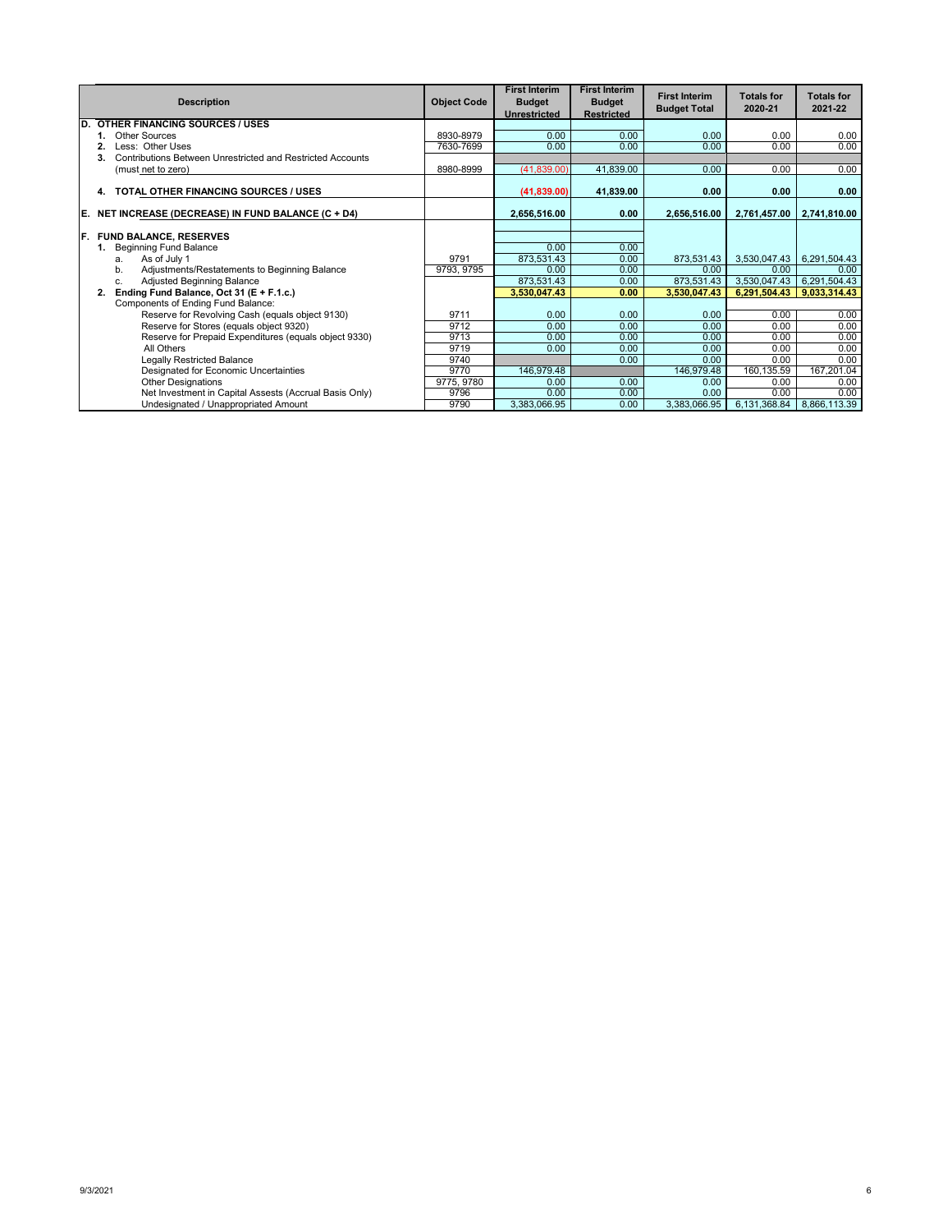|     | <b>Description</b>                                               | <b>Object Code</b> | <b>First Interim</b><br><b>Budget</b><br><b>Unrestricted</b> | <b>First Interim</b><br><b>Budget</b><br><b>Restricted</b> | <b>First Interim</b><br><b>Budget Total</b> | <b>Totals for</b><br>2020-21 | <b>Totals for</b><br>2021-22 |
|-----|------------------------------------------------------------------|--------------------|--------------------------------------------------------------|------------------------------------------------------------|---------------------------------------------|------------------------------|------------------------------|
| D.  | <b>OTHER FINANCING SOURCES / USES</b>                            |                    |                                                              |                                                            |                                             |                              |                              |
|     | Other Sources                                                    | 8930-8979          | 0.00                                                         | 0.00                                                       | 0.00                                        | 0.00                         | 0.00                         |
|     | Less: Other Uses                                                 | 7630-7699          | 0.00                                                         | 0.00                                                       | 0.00                                        | 0.00                         | 0.00                         |
|     | Contributions Between Unrestricted and Restricted Accounts<br>3. |                    |                                                              |                                                            |                                             |                              |                              |
|     | (must net to zero)                                               | 8980-8999          | (41,839.00)                                                  | 41,839.00                                                  | 0.00                                        | 0.00                         | 0.00                         |
|     | TOTAL OTHER FINANCING SOURCES / USES<br>4.                       |                    | (41, 839.00)                                                 | 41,839.00                                                  | 0.00                                        | 0.00                         | 0.00                         |
| E.  | NET INCREASE (DECREASE) IN FUND BALANCE (C + D4)                 |                    | 2,656,516.00                                                 | 0.00                                                       | 2,656,516.00                                | 2,761,457.00                 | 2,741,810.00                 |
|     |                                                                  |                    |                                                              |                                                            |                                             |                              |                              |
| IF. | <b>FUND BALANCE, RESERVES</b>                                    |                    |                                                              |                                                            |                                             |                              |                              |
|     | <b>Beginning Fund Balance</b>                                    |                    | 0.00                                                         | 0.00                                                       |                                             |                              |                              |
|     | As of July 1<br>a.                                               | 9791               | 873,531.43                                                   | 0.00                                                       | 873,531.43                                  | 3,530,047.43                 | 6,291,504.43                 |
|     | Adjustments/Restatements to Beginning Balance<br>b.              | 9793, 9795         | 0.00                                                         | 0.00                                                       | 0.00                                        | 0.00                         | 0.00                         |
|     | Adjusted Beginning Balance<br>c.                                 |                    | 873,531.43                                                   | 0.00                                                       | 873,531.43                                  | 3,530,047.43                 | 6,291,504.43                 |
|     | Ending Fund Balance, Oct 31 (E + F.1.c.)<br>2.                   |                    | 3,530,047.43                                                 | 0.00                                                       | 3.530.047.43                                | 6,291,504.43                 | 9,033,314.43                 |
|     | Components of Ending Fund Balance:                               |                    |                                                              |                                                            |                                             |                              |                              |
|     | Reserve for Revolving Cash (equals object 9130)                  | 9711               | 0.00                                                         | 0.00                                                       | 0.00                                        | 0.00                         | 0.00                         |
|     | Reserve for Stores (equals object 9320)                          | 9712               | 0.00                                                         | 0.00                                                       | 0.00                                        | 0.00                         | 0.00                         |
|     | Reserve for Prepaid Expenditures (equals object 9330)            | 9713               | 0.00                                                         | 0.00                                                       | 0.00                                        | 0.00                         | 0.00                         |
|     | All Others                                                       | 9719               | 0.00                                                         | 0.00                                                       | 0.00                                        | 0.00                         | 0.00                         |
|     | Legally Restricted Balance                                       | 9740               |                                                              | 0.00                                                       | 0.00                                        | 0.00                         | 0.00                         |
|     | Designated for Economic Uncertainties                            | 9770               | 146,979.48                                                   |                                                            | 146,979.48                                  | 160,135.59                   | 167,201.04                   |
|     | <b>Other Designations</b>                                        | 9775, 9780         | 0.00                                                         | 0.00                                                       | 0.00                                        | 0.00                         | 0.00                         |
|     | Net Investment in Capital Assests (Accrual Basis Only)           | 9796               | 0.00                                                         | 0.00                                                       | 0.00                                        | 0.00                         | 0.00                         |
|     | Undesignated / Unappropriated Amount                             | 9790               | 3,383,066.95                                                 | 0.00                                                       | 3,383,066.95                                | 6,131,368.84                 | 8,866,113.39                 |